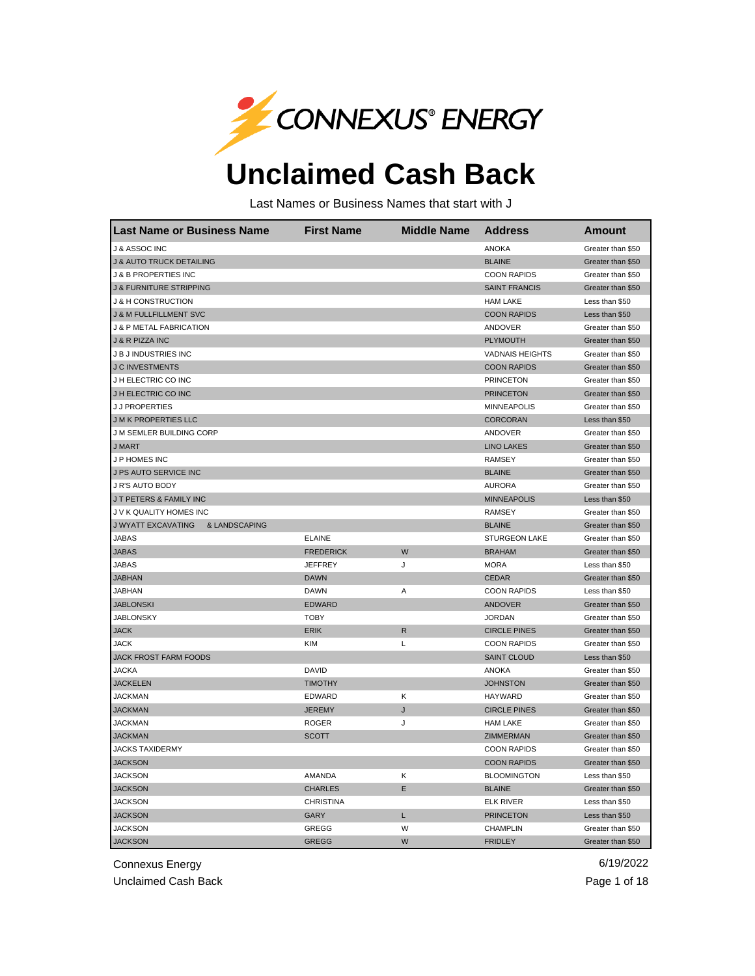

## **Unclaimed Cash Back**

Last Names or Business Names that start with J

| <b>Last Name or Business Name</b>          | <b>First Name</b> | <b>Middle Name</b> | <b>Address</b>         | <b>Amount</b>     |
|--------------------------------------------|-------------------|--------------------|------------------------|-------------------|
| J & ASSOC INC                              |                   |                    | <b>ANOKA</b>           | Greater than \$50 |
| <b>J &amp; AUTO TRUCK DETAILING</b>        |                   |                    | <b>BLAINE</b>          | Greater than \$50 |
| J & B PROPERTIES INC                       |                   |                    | <b>COON RAPIDS</b>     | Greater than \$50 |
| <b>J &amp; FURNITURE STRIPPING</b>         |                   |                    | <b>SAINT FRANCIS</b>   | Greater than \$50 |
| <b>J &amp; H CONSTRUCTION</b>              |                   |                    | <b>HAM LAKE</b>        | Less than \$50    |
| <b>J &amp; M FULLFILLMENT SVC</b>          |                   |                    | <b>COON RAPIDS</b>     | Less than \$50    |
| <b>J &amp; P METAL FABRICATION</b>         |                   |                    | <b>ANDOVER</b>         | Greater than \$50 |
| J & R PIZZA INC                            |                   |                    | <b>PLYMOUTH</b>        | Greater than \$50 |
| J B J INDUSTRIES INC                       |                   |                    | <b>VADNAIS HEIGHTS</b> | Greater than \$50 |
| <b>J C INVESTMENTS</b>                     |                   |                    | <b>COON RAPIDS</b>     | Greater than \$50 |
| J H ELECTRIC CO INC                        |                   |                    | <b>PRINCETON</b>       | Greater than \$50 |
| J H ELECTRIC CO INC                        |                   |                    | <b>PRINCETON</b>       | Greater than \$50 |
| <b>JJ PROPERTIES</b>                       |                   |                    | <b>MINNEAPOLIS</b>     | Greater than \$50 |
| <b>JMK PROPERTIES LLC</b>                  |                   |                    | <b>CORCORAN</b>        | Less than \$50    |
| J M SEMLER BUILDING CORP                   |                   |                    | ANDOVER                | Greater than \$50 |
| <b>J MART</b>                              |                   |                    | <b>LINO LAKES</b>      | Greater than \$50 |
| J P HOMES INC                              |                   |                    | <b>RAMSEY</b>          | Greater than \$50 |
| J PS AUTO SERVICE INC                      |                   |                    | <b>BLAINE</b>          | Greater than \$50 |
| J R'S AUTO BODY                            |                   |                    | <b>AURORA</b>          | Greater than \$50 |
| J T PETERS & FAMILY INC                    |                   |                    | <b>MINNEAPOLIS</b>     | Less than \$50    |
| J V K QUALITY HOMES INC                    |                   |                    | <b>RAMSEY</b>          | Greater than \$50 |
| <b>J WYATT EXCAVATING</b><br>& LANDSCAPING |                   |                    | <b>BLAINE</b>          | Greater than \$50 |
| <b>JABAS</b>                               | <b>ELAINE</b>     |                    | <b>STURGEON LAKE</b>   | Greater than \$50 |
| <b>JABAS</b>                               | <b>FREDERICK</b>  | W                  | <b>BRAHAM</b>          | Greater than \$50 |
| <b>JABAS</b>                               | <b>JEFFREY</b>    | J                  | <b>MORA</b>            | Less than \$50    |
| <b>JABHAN</b>                              | <b>DAWN</b>       |                    | <b>CEDAR</b>           | Greater than \$50 |
| <b>JABHAN</b>                              | <b>DAWN</b>       | Α                  | <b>COON RAPIDS</b>     | Less than \$50    |
| <b>JABLONSKI</b>                           | <b>EDWARD</b>     |                    | <b>ANDOVER</b>         | Greater than \$50 |
| <b>JABLONSKY</b>                           | <b>TOBY</b>       |                    | <b>JORDAN</b>          | Greater than \$50 |
| <b>JACK</b>                                | <b>ERIK</b>       | $\mathsf{R}$       | <b>CIRCLE PINES</b>    | Greater than \$50 |
| JACK                                       | <b>KIM</b>        | L                  | <b>COON RAPIDS</b>     | Greater than \$50 |
| JACK FROST FARM FOODS                      |                   |                    | <b>SAINT CLOUD</b>     | Less than \$50    |
| <b>JACKA</b>                               | <b>DAVID</b>      |                    | <b>ANOKA</b>           | Greater than \$50 |
| <b>JACKELEN</b>                            | <b>TIMOTHY</b>    |                    | <b>JOHNSTON</b>        | Greater than \$50 |
| <b>JACKMAN</b>                             | <b>EDWARD</b>     | K                  | HAYWARD                | Greater than \$50 |
| <b>JACKMAN</b>                             | <b>JEREMY</b>     | J                  | <b>CIRCLE PINES</b>    | Greater than \$50 |
| <b>JACKMAN</b>                             | <b>ROGER</b>      | J                  | <b>HAM LAKE</b>        | Greater than \$50 |
| <b>JACKMAN</b>                             | SCOTT             |                    | ZIMMERMAN              | Greater than \$50 |
| <b>JACKS TAXIDERMY</b>                     |                   |                    | <b>COON RAPIDS</b>     | Greater than \$50 |
| <b>JACKSON</b>                             |                   |                    | <b>COON RAPIDS</b>     | Greater than \$50 |
| <b>JACKSON</b>                             | AMANDA            | Κ                  | <b>BLOOMINGTON</b>     | Less than \$50    |
| <b>JACKSON</b>                             | <b>CHARLES</b>    | E                  | <b>BLAINE</b>          | Greater than \$50 |
| <b>JACKSON</b>                             | <b>CHRISTINA</b>  |                    | <b>ELK RIVER</b>       | Less than \$50    |
| <b>JACKSON</b>                             | <b>GARY</b>       | L                  | <b>PRINCETON</b>       | Less than \$50    |
| <b>JACKSON</b>                             | GREGG             | W                  | <b>CHAMPLIN</b>        | Greater than \$50 |
| <b>JACKSON</b>                             | <b>GREGG</b>      | W                  | <b>FRIDLEY</b>         | Greater than \$50 |

Connexus Energy 6/19/2022

Unclaimed Cash Back **Page 1 of 18**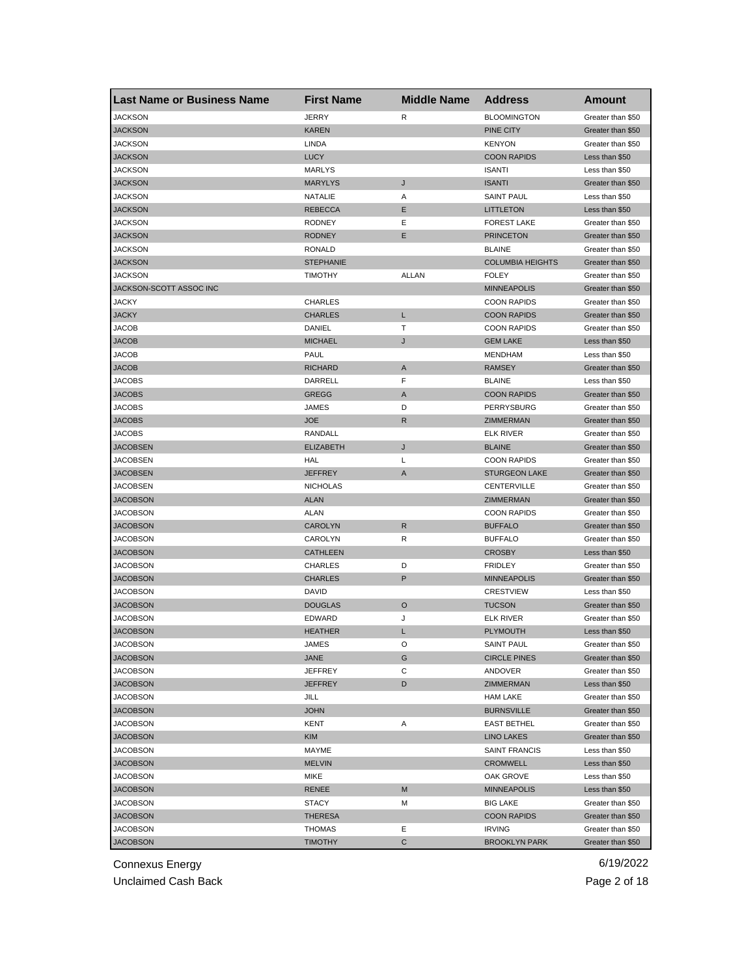| <b>Last Name or Business Name</b> | <b>First Name</b> | <b>Middle Name</b> | <b>Address</b>          | <b>Amount</b>     |
|-----------------------------------|-------------------|--------------------|-------------------------|-------------------|
| <b>JACKSON</b>                    | JERRY             | R                  | <b>BLOOMINGTON</b>      | Greater than \$50 |
| <b>JACKSON</b>                    | <b>KAREN</b>      |                    | PINE CITY               | Greater than \$50 |
| <b>JACKSON</b>                    | LINDA             |                    | <b>KENYON</b>           | Greater than \$50 |
| <b>JACKSON</b>                    | <b>LUCY</b>       |                    | <b>COON RAPIDS</b>      | Less than \$50    |
| JACKSON                           | <b>MARLYS</b>     |                    | <b>ISANTI</b>           | Less than \$50    |
| <b>JACKSON</b>                    | <b>MARYLYS</b>    | J                  | <b>ISANTI</b>           | Greater than \$50 |
| <b>JACKSON</b>                    | NATALIE           | Α                  | <b>SAINT PAUL</b>       | Less than \$50    |
| <b>JACKSON</b>                    | <b>REBECCA</b>    | Ε                  | <b>LITTLETON</b>        | Less than \$50    |
| JACKSON                           | <b>RODNEY</b>     | Ε                  | <b>FOREST LAKE</b>      | Greater than \$50 |
| <b>JACKSON</b>                    | <b>RODNEY</b>     | Ε                  | <b>PRINCETON</b>        | Greater than \$50 |
| <b>JACKSON</b>                    | RONALD            |                    | <b>BLAINE</b>           | Greater than \$50 |
| <b>JACKSON</b>                    | <b>STEPHANIE</b>  |                    | <b>COLUMBIA HEIGHTS</b> | Greater than \$50 |
| JACKSON                           | <b>TIMOTHY</b>    | <b>ALLAN</b>       | <b>FOLEY</b>            | Greater than \$50 |
| JACKSON-SCOTT ASSOC INC           |                   |                    | <b>MINNEAPOLIS</b>      | Greater than \$50 |
| <b>JACKY</b>                      | <b>CHARLES</b>    |                    | <b>COON RAPIDS</b>      | Greater than \$50 |
| <b>JACKY</b>                      | <b>CHARLES</b>    | L                  | <b>COON RAPIDS</b>      | Greater than \$50 |
| JACOB                             | DANIEL            | т                  | <b>COON RAPIDS</b>      | Greater than \$50 |
| <b>JACOB</b>                      | <b>MICHAEL</b>    | J                  | <b>GEM LAKE</b>         | Less than \$50    |
| <b>JACOB</b>                      | PAUL              |                    | <b>MENDHAM</b>          | Less than \$50    |
| <b>JACOB</b>                      | <b>RICHARD</b>    | A                  | <b>RAMSEY</b>           | Greater than \$50 |
| <b>JACOBS</b>                     | DARRELL           | F                  | <b>BLAINE</b>           | Less than \$50    |
| <b>JACOBS</b>                     | <b>GREGG</b>      | A                  | <b>COON RAPIDS</b>      | Greater than \$50 |
| JACOBS                            | JAMES             | D                  | PERRYSBURG              | Greater than \$50 |
| <b>JACOBS</b>                     | <b>JOE</b>        | R                  | ZIMMERMAN               | Greater than \$50 |
| JACOBS                            | RANDALL           |                    | <b>ELK RIVER</b>        | Greater than \$50 |
| <b>JACOBSEN</b>                   | <b>ELIZABETH</b>  | J                  | <b>BLAINE</b>           | Greater than \$50 |
| <b>JACOBSEN</b>                   | HAL               | Г                  | <b>COON RAPIDS</b>      | Greater than \$50 |
| <b>JACOBSEN</b>                   | <b>JEFFREY</b>    | A                  | <b>STURGEON LAKE</b>    | Greater than \$50 |
| JACOBSEN                          | <b>NICHOLAS</b>   |                    | <b>CENTERVILLE</b>      | Greater than \$50 |
| <b>JACOBSON</b>                   | <b>ALAN</b>       |                    | ZIMMERMAN               | Greater than \$50 |
| JACOBSON                          | ALAN              |                    | <b>COON RAPIDS</b>      | Greater than \$50 |
| <b>JACOBSON</b>                   | <b>CAROLYN</b>    | $\mathsf{R}$       | <b>BUFFALO</b>          | Greater than \$50 |
| JACOBSON                          | CAROLYN           | R                  | <b>BUFFALO</b>          | Greater than \$50 |
| <b>JACOBSON</b>                   | CATHLEEN          |                    | <b>CROSBY</b>           | Less than \$50    |
| <b>JACOBSON</b>                   | <b>CHARLES</b>    | D                  | <b>FRIDLEY</b>          | Greater than \$50 |
| <b>JACOBSON</b>                   | <b>CHARLES</b>    | P                  | <b>MINNEAPOLIS</b>      | Greater than \$50 |
| <b>JACOBSON</b>                   | DAVID             |                    | <b>CRESTVIEW</b>        | Less than \$50    |
| <b>JACOBSON</b>                   | <b>DOUGLAS</b>    | O                  | <b>TUCSON</b>           | Greater than \$50 |
| JACOBSON                          | <b>EDWARD</b>     | J                  | <b>ELK RIVER</b>        | Greater than \$50 |
| <b>JACOBSON</b>                   | <b>HEATHER</b>    | L                  | <b>PLYMOUTH</b>         | Less than \$50    |
| JACOBSON                          | JAMES             | O                  | SAINT PAUL              | Greater than \$50 |
| <b>JACOBSON</b>                   | JANE              | G                  | <b>CIRCLE PINES</b>     | Greater than \$50 |
| <b>JACOBSON</b>                   | JEFFREY           | С                  | ANDOVER                 | Greater than \$50 |
| <b>JACOBSON</b>                   | <b>JEFFREY</b>    | D                  | ZIMMERMAN               | Less than \$50    |
| <b>JACOBSON</b>                   | JILL              |                    | <b>HAM LAKE</b>         | Greater than \$50 |
| <b>JACOBSON</b>                   | <b>JOHN</b>       |                    | <b>BURNSVILLE</b>       | Greater than \$50 |
| <b>JACOBSON</b>                   | KENT              | Α                  | <b>EAST BETHEL</b>      | Greater than \$50 |
| <b>JACOBSON</b>                   | <b>KIM</b>        |                    | <b>LINO LAKES</b>       | Greater than \$50 |
| JACOBSON                          | MAYME             |                    | <b>SAINT FRANCIS</b>    | Less than \$50    |
| <b>JACOBSON</b>                   | <b>MELVIN</b>     |                    | <b>CROMWELL</b>         | Less than \$50    |
| <b>JACOBSON</b>                   | MIKE              |                    | OAK GROVE               | Less than \$50    |
| <b>JACOBSON</b>                   | <b>RENEE</b>      | M                  | <b>MINNEAPOLIS</b>      | Less than \$50    |
| JACOBSON                          | STACY             | М                  | <b>BIG LAKE</b>         | Greater than \$50 |
| <b>JACOBSON</b>                   | THERESA           |                    | <b>COON RAPIDS</b>      | Greater than \$50 |
| JACOBSON                          | THOMAS            | Ε                  | <b>IRVING</b>           | Greater than \$50 |
| <b>JACOBSON</b>                   | <b>TIMOTHY</b>    | С                  | <b>BROOKLYN PARK</b>    | Greater than \$50 |
|                                   |                   |                    |                         |                   |

Unclaimed Cash Back **Page 2 of 18**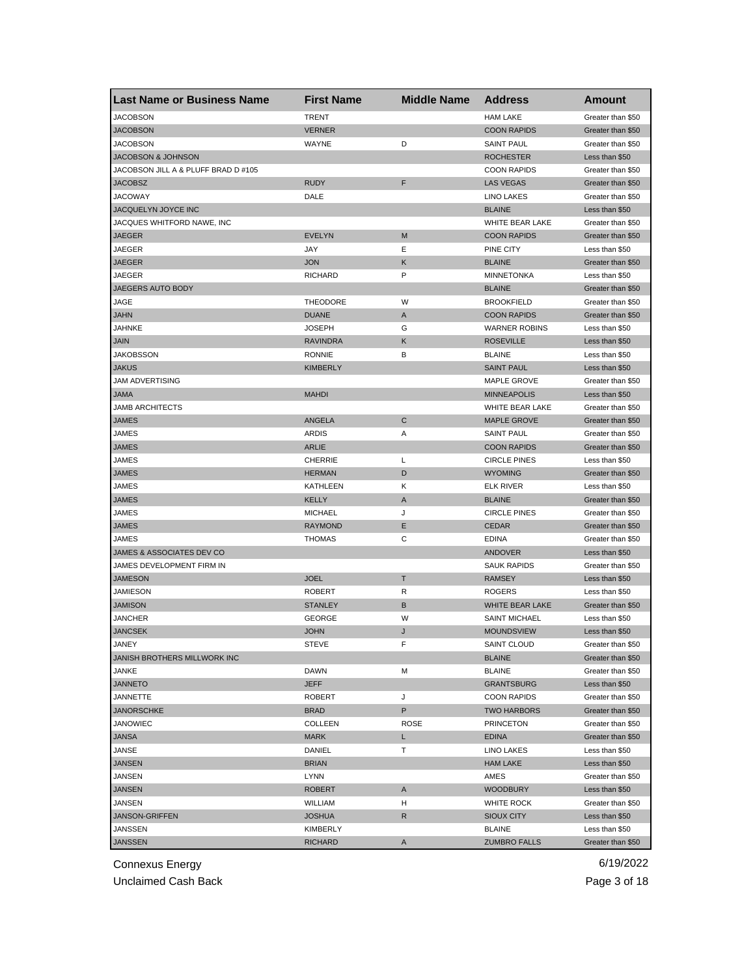| <b>Last Name or Business Name</b>   | <b>First Name</b> | <b>Middle Name</b> | <b>Address</b>       | Amount            |
|-------------------------------------|-------------------|--------------------|----------------------|-------------------|
| <b>JACOBSON</b>                     | <b>TRENT</b>      |                    | <b>HAM LAKE</b>      | Greater than \$50 |
| <b>JACOBSON</b>                     | <b>VERNER</b>     |                    | <b>COON RAPIDS</b>   | Greater than \$50 |
| <b>JACOBSON</b>                     | WAYNE             | D                  | <b>SAINT PAUL</b>    | Greater than \$50 |
| <b>JACOBSON &amp; JOHNSON</b>       |                   |                    | <b>ROCHESTER</b>     | Less than \$50    |
| JACOBSON JILL A & PLUFF BRAD D #105 |                   |                    | <b>COON RAPIDS</b>   | Greater than \$50 |
| <b>JACOBSZ</b>                      | <b>RUDY</b>       | F                  | <b>LAS VEGAS</b>     | Greater than \$50 |
| <b>JACOWAY</b>                      | DALE              |                    | <b>LINO LAKES</b>    | Greater than \$50 |
| JACQUELYN JOYCE INC                 |                   |                    | <b>BLAINE</b>        | Less than \$50    |
| JACQUES WHITFORD NAWE, INC          |                   |                    | WHITE BEAR LAKE      | Greater than \$50 |
| <b>JAEGER</b>                       | <b>EVELYN</b>     | M                  | <b>COON RAPIDS</b>   | Greater than \$50 |
| <b>JAEGER</b>                       | JAY               | Е                  | PINE CITY            | Less than \$50    |
| <b>JAEGER</b>                       | <b>JON</b>        | Κ                  | <b>BLAINE</b>        | Greater than \$50 |
| <b>JAEGER</b>                       | <b>RICHARD</b>    | P                  | <b>MINNETONKA</b>    | Less than \$50    |
| JAEGERS AUTO BODY                   |                   |                    | <b>BLAINE</b>        | Greater than \$50 |
| JAGE                                | <b>THEODORE</b>   | W                  | <b>BROOKFIELD</b>    | Greater than \$50 |
| <b>JAHN</b>                         | <b>DUANE</b>      | A                  | <b>COON RAPIDS</b>   | Greater than \$50 |
| JAHNKE                              | <b>JOSEPH</b>     | G                  | <b>WARNER ROBINS</b> | Less than \$50    |
| <b>JAIN</b>                         | <b>RAVINDRA</b>   | Κ                  | <b>ROSEVILLE</b>     | Less than \$50    |
| <b>JAKOBSSON</b>                    | <b>RONNIE</b>     | B                  | <b>BLAINE</b>        | Less than \$50    |
| <b>JAKUS</b>                        | <b>KIMBERLY</b>   |                    | <b>SAINT PAUL</b>    | Less than \$50    |
| <b>JAM ADVERTISING</b>              |                   |                    | <b>MAPLE GROVE</b>   | Greater than \$50 |
| <b>JAMA</b>                         | <b>MAHDI</b>      |                    | <b>MINNEAPOLIS</b>   | Less than \$50    |
| <b>JAMB ARCHITECTS</b>              |                   |                    | WHITE BEAR LAKE      | Greater than \$50 |
| <b>JAMES</b>                        | <b>ANGELA</b>     | C                  | <b>MAPLE GROVE</b>   | Greater than \$50 |
| JAMES                               | <b>ARDIS</b>      | Α                  | <b>SAINT PAUL</b>    | Greater than \$50 |
| <b>JAMES</b>                        | <b>ARLIE</b>      |                    | <b>COON RAPIDS</b>   | Greater than \$50 |
| JAMES                               | <b>CHERRIE</b>    | L                  | <b>CIRCLE PINES</b>  | Less than \$50    |
| <b>JAMES</b>                        | <b>HERMAN</b>     | D                  | <b>WYOMING</b>       | Greater than \$50 |
| <b>JAMES</b>                        | KATHLEEN          | Κ                  | <b>ELK RIVER</b>     | Less than \$50    |
| <b>JAMES</b>                        | <b>KELLY</b>      | A                  | <b>BLAINE</b>        | Greater than \$50 |
| JAMES                               | <b>MICHAEL</b>    | J                  | <b>CIRCLE PINES</b>  | Greater than \$50 |
| <b>JAMES</b>                        | <b>RAYMOND</b>    | Ε                  | <b>CEDAR</b>         | Greater than \$50 |
| JAMES                               | <b>THOMAS</b>     | C                  | <b>EDINA</b>         | Greater than \$50 |
| JAMES & ASSOCIATES DEV CO           |                   |                    | ANDOVER              | Less than \$50    |
| JAMES DEVELOPMENT FIRM IN           |                   |                    | <b>SAUK RAPIDS</b>   | Greater than \$50 |
| <b>JAMESON</b>                      | <b>JOEL</b>       | T                  | <b>RAMSEY</b>        | Less than \$50    |
| JAMIESON                            | <b>ROBERT</b>     | R                  | <b>ROGERS</b>        | Less than \$50    |
| <b>JAMISON</b>                      | <b>STANLEY</b>    | В                  | WHITE BEAR LAKE      | Greater than \$50 |
| <b>JANCHER</b>                      | <b>GEORGE</b>     | W                  | <b>SAINT MICHAEL</b> | Less than \$50    |
| <b>JANCSEK</b>                      | <b>JOHN</b>       | J                  | <b>MOUNDSVIEW</b>    | Less than \$50    |
| JANEY                               | STEVE             | F                  | SAINT CLOUD          | Greater than \$50 |
| JANISH BROTHERS MILLWORK INC        |                   |                    | <b>BLAINE</b>        | Greater than \$50 |
| JANKE                               | DAWN              | M                  | <b>BLAINE</b>        | Greater than \$50 |
| <b>JANNETO</b>                      | <b>JEFF</b>       |                    | <b>GRANTSBURG</b>    | Less than \$50    |
| JANNETTE                            | <b>ROBERT</b>     | J                  | <b>COON RAPIDS</b>   | Greater than \$50 |
| <b>JANORSCHKE</b>                   | <b>BRAD</b>       | P                  | <b>TWO HARBORS</b>   | Greater than \$50 |
| <b>JANOWIEC</b>                     | <b>COLLEEN</b>    | <b>ROSE</b>        | <b>PRINCETON</b>     | Greater than \$50 |
| <b>JANSA</b>                        | <b>MARK</b>       | L                  | <b>EDINA</b>         | Greater than \$50 |
| JANSE                               | DANIEL            | т                  | LINO LAKES           | Less than \$50    |
| <b>JANSEN</b>                       | <b>BRIAN</b>      |                    | <b>HAM LAKE</b>      | Less than \$50    |
| JANSEN                              | LYNN              |                    | AMES                 | Greater than \$50 |
| <b>JANSEN</b>                       | <b>ROBERT</b>     | A                  | <b>WOODBURY</b>      | Less than \$50    |
| JANSEN                              | WILLIAM           | н                  | WHITE ROCK           | Greater than \$50 |
| <b>JANSON-GRIFFEN</b>               | <b>JOSHUA</b>     | R                  | <b>SIOUX CITY</b>    | Less than \$50    |
| JANSSEN                             | KIMBERLY          |                    | <b>BLAINE</b>        | Less than \$50    |
| <b>JANSSEN</b>                      | RICHARD           | A                  | <b>ZUMBRO FALLS</b>  | Greater than \$50 |

Unclaimed Cash Back **Page 3 of 18**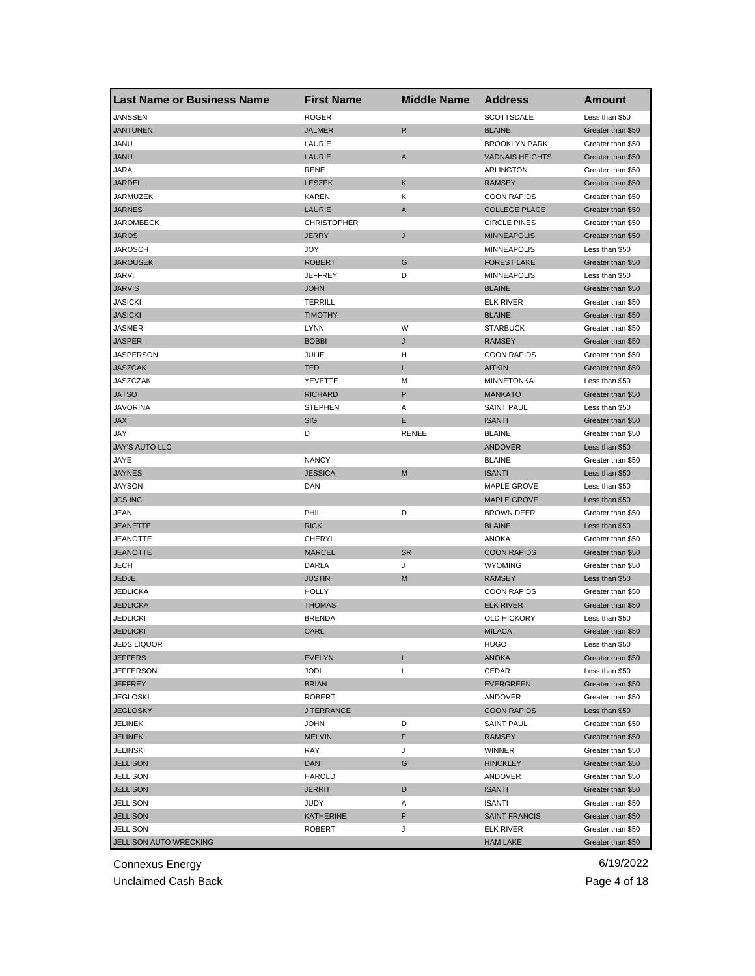| Last Name or Business Name | <b>First Name</b>  | <b>Middle Name</b> | <b>Address</b>         | <b>Amount</b>     |
|----------------------------|--------------------|--------------------|------------------------|-------------------|
| <b>JANSSEN</b>             | <b>ROGER</b>       |                    | SCOTTSDALE             | Less than \$50    |
| <b>JANTUNEN</b>            | <b>JALMER</b>      | R                  | <b>BLAINE</b>          | Greater than \$50 |
| JANU                       | LAURIE             |                    | <b>BROOKLYN PARK</b>   | Greater than \$50 |
| <b>JANU</b>                | LAURIE             | A                  | <b>VADNAIS HEIGHTS</b> | Greater than \$50 |
| JARA                       | <b>RENE</b>        |                    | ARLINGTON              | Greater than \$50 |
| JARDEL                     | <b>LESZEK</b>      | Κ                  | <b>RAMSEY</b>          | Greater than \$50 |
| JARMUZEK                   | <b>KAREN</b>       | κ                  | <b>COON RAPIDS</b>     | Greater than \$50 |
| JARNES                     | LAURIE             | A                  | <b>COLLEGE PLACE</b>   | Greater than \$50 |
| JAROMBECK                  | <b>CHRISTOPHER</b> |                    | <b>CIRCLE PINES</b>    | Greater than \$50 |
| JAROS                      | <b>JERRY</b>       | J                  | <b>MINNEAPOLIS</b>     | Greater than \$50 |
| JAROSCH                    | JOY                |                    | <b>MINNEAPOLIS</b>     | Less than \$50    |
| <b>JAROUSEK</b>            | <b>ROBERT</b>      | G                  | <b>FOREST LAKE</b>     | Greater than \$50 |
| JARVI                      | <b>JEFFREY</b>     | D                  | <b>MINNEAPOLIS</b>     | Less than \$50    |
| <b>JARVIS</b>              | <b>JOHN</b>        |                    | <b>BLAINE</b>          | Greater than \$50 |
| <b>JASICKI</b>             | <b>TERRILL</b>     |                    | <b>ELK RIVER</b>       | Greater than \$50 |
| JASICKI                    | <b>TIMOTHY</b>     |                    | <b>BLAINE</b>          | Greater than \$50 |
| JASMER                     | <b>LYNN</b>        | W                  | <b>STARBUCK</b>        | Greater than \$50 |
| JASPER                     | <b>BOBBI</b>       | J                  | <b>RAMSEY</b>          | Greater than \$50 |
| JASPERSON                  | JULIE              | н                  | <b>COON RAPIDS</b>     | Greater than \$50 |
| <b>JASZCAK</b>             | <b>TED</b>         | L                  | <b>AITKIN</b>          | Greater than \$50 |
| JASZCZAK                   | YEVETTE            | M                  | <b>MINNETONKA</b>      | Less than \$50    |
| <b>JATSO</b>               | <b>RICHARD</b>     | P                  | <b>MANKATO</b>         | Greater than \$50 |
| <b>JAVORINA</b>            | <b>STEPHEN</b>     | Α                  | <b>SAINT PAUL</b>      | Less than \$50    |
| JAX                        | <b>SIG</b>         | Ε                  | <b>ISANTI</b>          | Greater than \$50 |
| JAY                        | D                  | <b>RENEE</b>       | <b>BLAINE</b>          | Greater than \$50 |
| <b>JAY'S AUTO LLC</b>      |                    |                    | <b>ANDOVER</b>         | Less than \$50    |
| JAYE                       | <b>NANCY</b>       |                    | <b>BLAINE</b>          | Greater than \$50 |
| <b>JAYNES</b>              | <b>JESSICA</b>     | M                  | <b>ISANTI</b>          | Less than \$50    |
| JAYSON                     | DAN                |                    | <b>MAPLE GROVE</b>     | Less than \$50    |
| <b>JCS INC</b>             |                    |                    | <b>MAPLE GROVE</b>     | Less than \$50    |
| JEAN                       | PHIL               | D                  | <b>BROWN DEER</b>      | Greater than \$50 |
| JEANETTE                   | <b>RICK</b>        |                    | <b>BLAINE</b>          | Less than \$50    |
| JEANOTTE                   | CHERYL             |                    | ANOKA                  | Greater than \$50 |
| <b>JEANOTTE</b>            | <b>MARCEL</b>      | <b>SR</b>          | <b>COON RAPIDS</b>     | Greater than \$50 |
| JECH                       | DARLA              | J                  | <b>WYOMING</b>         | Greater than \$50 |
| JEDJE                      | <b>JUSTIN</b>      | M                  | <b>RAMSEY</b>          | Less than \$50    |
| JEDLICKA                   | <b>HOLLY</b>       |                    | <b>COON RAPIDS</b>     | Greater than \$50 |
| <b>JEDLICKA</b>            | <b>THOMAS</b>      |                    | <b>ELK RIVER</b>       | Greater than \$50 |
| JEDLICKI                   | <b>BRENDA</b>      |                    | <b>OLD HICKORY</b>     | Less than \$50    |
| <b>JEDLICKI</b>            | CARL               |                    | <b>MILACA</b>          | Greater than \$50 |
| JEDS LIQUOR                |                    |                    | <b>HUGO</b>            | Less than \$50    |
| <b>JEFFERS</b>             | <b>EVELYN</b>      | L                  | <b>ANOKA</b>           | Greater than \$50 |
| JEFFERSON                  | <b>JODI</b>        | Г                  | CEDAR                  | Less than \$50    |
| <b>JEFFREY</b>             | <b>BRIAN</b>       |                    | EVERGREEN              | Greater than \$50 |
| JEGLOSKI                   | <b>ROBERT</b>      |                    | ANDOVER                | Greater than \$50 |
| <b>JEGLOSKY</b>            | <b>J TERRANCE</b>  |                    | <b>COON RAPIDS</b>     | Less than \$50    |
| JELINEK                    | <b>JOHN</b>        | D                  | <b>SAINT PAUL</b>      | Greater than \$50 |
| <b>JELINEK</b>             | <b>MELVIN</b>      | F                  | <b>RAMSEY</b>          | Greater than \$50 |
| JELINSKI                   | RAY                | J                  | WINNER                 | Greater than \$50 |
| <b>JELLISON</b>            | <b>DAN</b>         | G                  | <b>HINCKLEY</b>        | Greater than \$50 |
| JELLISON                   | HAROLD             |                    | ANDOVER                | Greater than \$50 |
| JELLISON                   | <b>JERRIT</b>      | D                  | <b>ISANTI</b>          | Greater than \$50 |
| JELLISON                   | JUDY               | Α                  | <b>ISANTI</b>          | Greater than \$50 |
| JELLISON                   | <b>KATHERINE</b>   | F                  | <b>SAINT FRANCIS</b>   | Greater than \$50 |
| JELLISON                   | ROBERT             | J                  | <b>ELK RIVER</b>       | Greater than \$50 |
| JELLISON AUTO WRECKING     |                    |                    | <b>HAM LAKE</b>        | Greater than \$50 |

Unclaimed Cash Back **Page 4 of 18**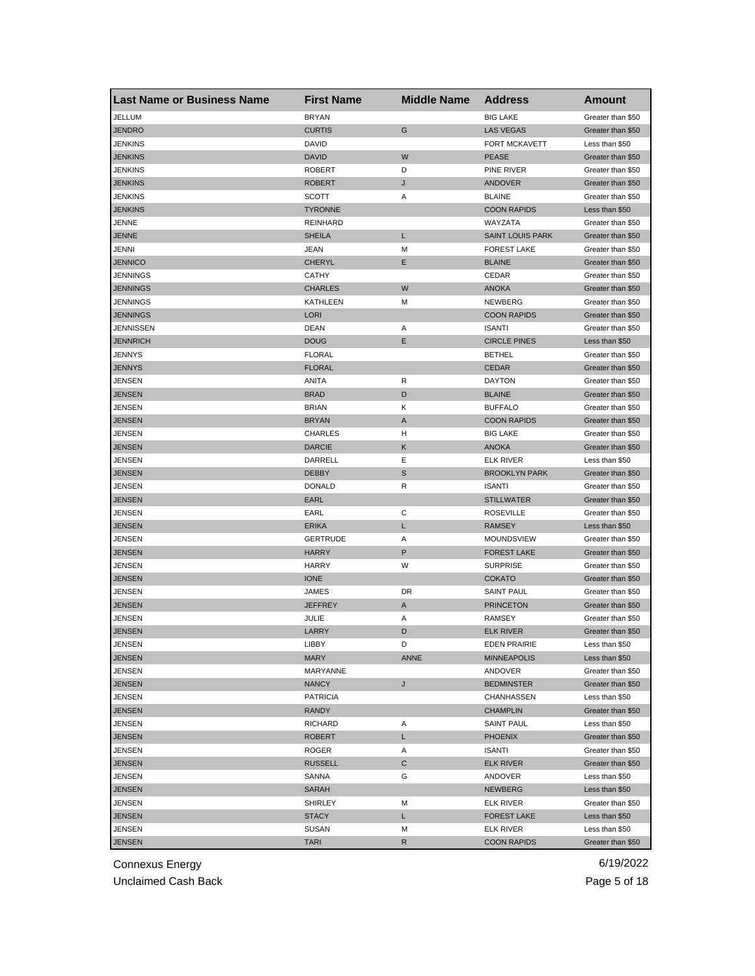| <b>Last Name or Business Name</b> | <b>First Name</b> | <b>Middle Name</b> | <b>Address</b>                     | <b>Amount</b>                    |
|-----------------------------------|-------------------|--------------------|------------------------------------|----------------------------------|
| JELLUM                            | <b>BRYAN</b>      |                    | <b>BIG LAKE</b>                    | Greater than \$50                |
| <b>JENDRO</b>                     | <b>CURTIS</b>     | G                  | <b>LAS VEGAS</b>                   | Greater than \$50                |
| JENKINS                           | DAVID             |                    | FORT MCKAVETT                      | Less than \$50                   |
| <b>JENKINS</b>                    | <b>DAVID</b>      | W                  | <b>PEASE</b>                       | Greater than \$50                |
| JENKINS                           | <b>ROBERT</b>     | D                  | PINE RIVER                         | Greater than \$50                |
| <b>JENKINS</b>                    | <b>ROBERT</b>     | J                  | ANDOVER                            | Greater than \$50                |
| JENKINS                           | <b>SCOTT</b>      | Α                  | <b>BLAINE</b>                      | Greater than \$50                |
| <b>JENKINS</b>                    | <b>TYRONNE</b>    |                    | <b>COON RAPIDS</b>                 | Less than \$50                   |
| JENNE                             | <b>REINHARD</b>   |                    | WAYZATA                            | Greater than \$50                |
| <b>JENNE</b>                      | <b>SHEILA</b>     | L                  | <b>SAINT LOUIS PARK</b>            | Greater than \$50                |
| JENNI                             | JEAN              | M                  | <b>FOREST LAKE</b>                 | Greater than \$50                |
| <b>JENNICO</b>                    | <b>CHERYL</b>     | Е                  | <b>BLAINE</b>                      | Greater than \$50                |
| JENNINGS                          | <b>CATHY</b>      |                    | CEDAR                              | Greater than \$50                |
| <b>JENNINGS</b>                   | <b>CHARLES</b>    | W                  | <b>ANOKA</b>                       | Greater than \$50                |
| JENNINGS                          | KATHLEEN          | M                  | NEWBERG                            | Greater than \$50                |
| <b>JENNINGS</b>                   | <b>LORI</b>       |                    | <b>COON RAPIDS</b>                 | Greater than \$50                |
| JENNISSEN                         | <b>DEAN</b>       | Α                  | <b>ISANTI</b>                      | Greater than \$50                |
| <b>JENNRICH</b>                   | <b>DOUG</b>       | Ε                  | <b>CIRCLE PINES</b>                | Less than \$50                   |
| JENNYS                            | <b>FLORAL</b>     |                    | <b>BETHEL</b>                      | Greater than \$50                |
| <b>JENNYS</b>                     | <b>FLORAL</b>     |                    | <b>CEDAR</b>                       | Greater than \$50                |
| JENSEN                            | ANITA             | R                  | <b>DAYTON</b>                      | Greater than \$50                |
| <b>JENSEN</b>                     | <b>BRAD</b>       | D                  | <b>BLAINE</b>                      | Greater than \$50                |
| JENSEN                            | <b>BRIAN</b>      | Κ                  | <b>BUFFALO</b>                     | Greater than \$50                |
| <b>JENSEN</b>                     | <b>BRYAN</b>      | Α                  | <b>COON RAPIDS</b>                 | Greater than \$50                |
| JENSEN                            | <b>CHARLES</b>    | н                  | <b>BIG LAKE</b>                    | Greater than \$50                |
| <b>JENSEN</b>                     | <b>DARCIE</b>     | Κ                  | <b>ANOKA</b>                       | Greater than \$50                |
| JENSEN                            | DARRELL           | Ε                  | <b>ELK RIVER</b>                   | Less than \$50                   |
| <b>JENSEN</b>                     | <b>DEBBY</b>      | S                  | <b>BROOKLYN PARK</b>               | Greater than \$50                |
| JENSEN                            | <b>DONALD</b>     | R                  | <b>ISANTI</b>                      | Greater than \$50                |
| JENSEN                            | EARL              |                    | <b>STILLWATER</b>                  | Greater than \$50                |
| JENSEN                            | EARL              | С                  | <b>ROSEVILLE</b>                   | Greater than \$50                |
| <b>JENSEN</b>                     | <b>ERIKA</b>      | L                  | <b>RAMSEY</b>                      | Less than \$50                   |
| JENSEN                            | GERTRUDE          | Α                  | <b>MOUNDSVIEW</b>                  | Greater than \$50                |
| <b>JENSEN</b>                     | <b>HARRY</b>      | $\sf P$            | <b>FOREST LAKE</b>                 | Greater than \$50                |
| JENSEN                            | <b>HARRY</b>      | W                  | <b>SURPRISE</b>                    | Greater than \$50                |
| JENSEN                            | <b>IONE</b>       |                    | <b>COKATO</b>                      | Greater than \$50                |
| JENSEN                            | JAMES             | DR                 | <b>SAINT PAUL</b>                  | Greater than \$50                |
| <b>JENSEN</b>                     | JEFFREY           | A                  | <b>PRINCETON</b>                   | Greater than \$50                |
| <b>JENSEN</b>                     | JULIE             | Α                  | <b>RAMSEY</b>                      | Greater than \$50                |
| <b>JENSEN</b>                     | LARRY             | D                  | <b>ELK RIVER</b>                   | Greater than \$50                |
|                                   | LIBBY             | D                  |                                    |                                  |
| JENSEN<br><b>JENSEN</b>           | <b>MARY</b>       | <b>ANNE</b>        | EDEN PRAIRIE<br><b>MINNEAPOLIS</b> | Less than \$50<br>Less than \$50 |
| <b>JENSEN</b>                     | MARYANNE          |                    | ANDOVER                            | Greater than \$50                |
| <b>JENSEN</b>                     | <b>NANCY</b>      | J                  | <b>BEDMINSTER</b>                  | Greater than \$50                |
|                                   |                   |                    |                                    |                                  |
| JENSEN                            | <b>PATRICIA</b>   |                    | CHANHASSEN<br><b>CHAMPLIN</b>      | Less than \$50                   |
| <b>JENSEN</b>                     | <b>RANDY</b>      |                    |                                    | Greater than \$50                |
| JENSEN                            | RICHARD           | Α                  | <b>SAINT PAUL</b>                  | Less than \$50                   |
| <b>JENSEN</b>                     | <b>ROBERT</b>     | L.                 | <b>PHOENIX</b>                     | Greater than \$50                |
| JENSEN                            | ROGER             | Α                  | <b>ISANTI</b>                      | Greater than \$50                |
| <b>JENSEN</b>                     | <b>RUSSELL</b>    | С                  | <b>ELK RIVER</b>                   | Greater than \$50                |
| JENSEN                            | <b>SANNA</b>      | G                  | ANDOVER                            | Less than \$50                   |
| <b>JENSEN</b>                     | SARAH             |                    | <b>NEWBERG</b>                     | Less than \$50                   |
| JENSEN                            | SHIRLEY           | M                  | ELK RIVER                          | Greater than \$50                |
| JENSEN                            | <b>STACY</b>      | L                  | <b>FOREST LAKE</b>                 | Less than \$50                   |
| <b>JENSEN</b>                     | SUSAN             | M                  | ELK RIVER                          | Less than \$50                   |
| <b>JENSEN</b>                     | TARI              | R                  | <b>COON RAPIDS</b>                 | Greater than \$50                |

Unclaimed Cash Back **Page 5 of 18**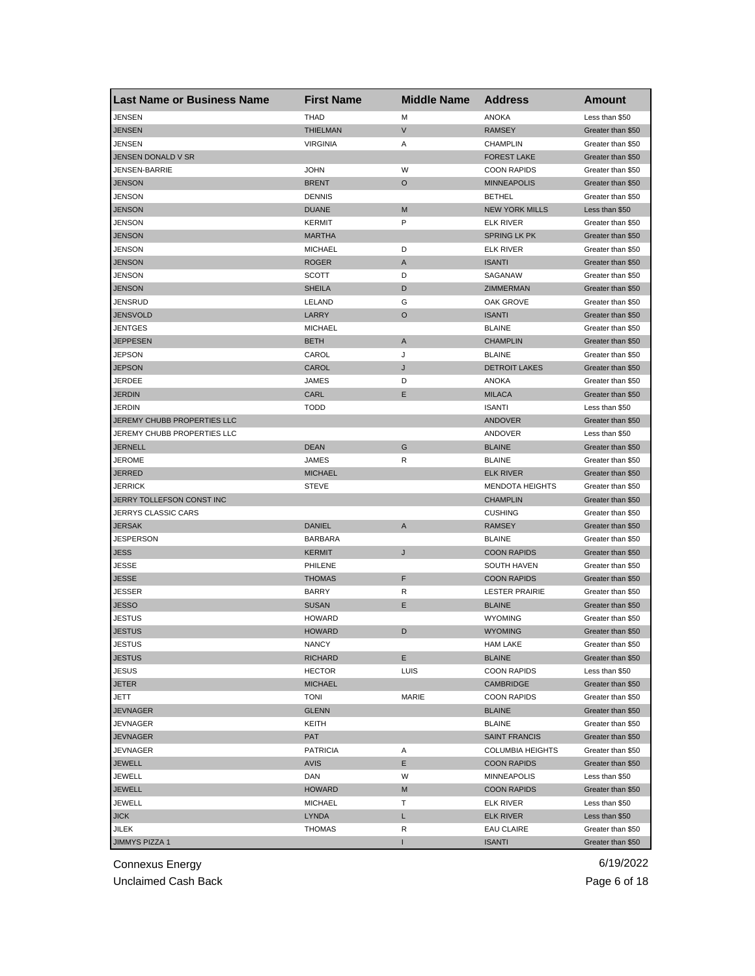| <b>Last Name or Business Name</b> | <b>First Name</b> | <b>Middle Name</b> | <b>Address</b>          | <b>Amount</b>     |
|-----------------------------------|-------------------|--------------------|-------------------------|-------------------|
| JENSEN                            | <b>THAD</b>       | M                  | <b>ANOKA</b>            | Less than \$50    |
| <b>JENSEN</b>                     | <b>THIELMAN</b>   | $\mathsf{V}$       | <b>RAMSEY</b>           | Greater than \$50 |
| JENSEN                            | <b>VIRGINIA</b>   | Α                  | <b>CHAMPLIN</b>         | Greater than \$50 |
| JENSEN DONALD V SR                |                   |                    | <b>FOREST LAKE</b>      | Greater than \$50 |
| JENSEN-BARRIE                     | <b>JOHN</b>       | W                  | <b>COON RAPIDS</b>      | Greater than \$50 |
| <b>JENSON</b>                     | <b>BRENT</b>      | O                  | <b>MINNEAPOLIS</b>      | Greater than \$50 |
| JENSON                            | <b>DENNIS</b>     |                    | <b>BETHEL</b>           | Greater than \$50 |
| <b>JENSON</b>                     | <b>DUANE</b>      | M                  | <b>NEW YORK MILLS</b>   | Less than \$50    |
| JENSON                            | <b>KERMIT</b>     | P                  | <b>ELK RIVER</b>        | Greater than \$50 |
| <b>JENSON</b>                     | <b>MARTHA</b>     |                    | <b>SPRING LK PK</b>     | Greater than \$50 |
| JENSON                            | <b>MICHAEL</b>    | D                  | <b>ELK RIVER</b>        | Greater than \$50 |
| <b>JENSON</b>                     | <b>ROGER</b>      | A                  | <b>ISANTI</b>           | Greater than \$50 |
| JENSON                            | <b>SCOTT</b>      | D                  | SAGANAW                 | Greater than \$50 |
| <b>JENSON</b>                     | <b>SHEILA</b>     | D                  | <b>ZIMMERMAN</b>        | Greater than \$50 |
| JENSRUD                           | LELAND            | G                  | OAK GROVE               | Greater than \$50 |
| <b>JENSVOLD</b>                   | LARRY             | O                  | <b>ISANTI</b>           | Greater than \$50 |
| JENTGES                           | <b>MICHAEL</b>    |                    | <b>BLAINE</b>           | Greater than \$50 |
| <b>JEPPESEN</b>                   | <b>BETH</b>       | A                  | <b>CHAMPLIN</b>         | Greater than \$50 |
| JEPSON                            | CAROL             | J                  | <b>BLAINE</b>           | Greater than \$50 |
| <b>JEPSON</b>                     | CAROL             | J                  | <b>DETROIT LAKES</b>    | Greater than \$50 |
| JERDEE                            | JAMES             | D                  | ANOKA                   | Greater than \$50 |
| <b>JERDIN</b>                     | CARL              | Ε                  | <b>MILACA</b>           | Greater than \$50 |
| <b>JERDIN</b>                     | <b>TODD</b>       |                    | <b>ISANTI</b>           | Less than \$50    |
| JEREMY CHUBB PROPERTIES LLC       |                   |                    | <b>ANDOVER</b>          | Greater than \$50 |
| JEREMY CHUBB PROPERTIES LLC       |                   |                    | ANDOVER                 | Less than \$50    |
| <b>JERNELL</b>                    | <b>DEAN</b>       | G                  | <b>BLAINE</b>           | Greater than \$50 |
| JEROME                            | JAMES             | R                  | <b>BLAINE</b>           | Greater than \$50 |
| <b>JERRED</b>                     | <b>MICHAEL</b>    |                    | <b>ELK RIVER</b>        | Greater than \$50 |
| JERRICK                           | <b>STEVE</b>      |                    | <b>MENDOTA HEIGHTS</b>  | Greater than \$50 |
| JERRY TOLLEFSON CONST INC         |                   |                    | <b>CHAMPLIN</b>         | Greater than \$50 |
| JERRYS CLASSIC CARS               |                   |                    | <b>CUSHING</b>          | Greater than \$50 |
| <b>JERSAK</b>                     | <b>DANIEL</b>     | A                  | <b>RAMSEY</b>           | Greater than \$50 |
| <b>JESPERSON</b>                  | <b>BARBARA</b>    |                    | <b>BLAINE</b>           | Greater than \$50 |
| <b>JESS</b>                       | <b>KERMIT</b>     | J                  | <b>COON RAPIDS</b>      | Greater than \$50 |
| JESSE                             | PHILENE           |                    | SOUTH HAVEN             | Greater than \$50 |
| <b>JESSE</b>                      | <b>THOMAS</b>     | F                  | <b>COON RAPIDS</b>      | Greater than \$50 |
| JESSER                            | <b>BARRY</b>      | R                  | <b>LESTER PRAIRIE</b>   | Greater than \$50 |
| JESSO                             | <b>SUSAN</b>      | Е                  | <b>BLAINE</b>           | Greater than \$50 |
| <b>JESTUS</b>                     | <b>HOWARD</b>     |                    | <b>WYOMING</b>          | Greater than \$50 |
| JESTUS                            | <b>HOWARD</b>     | D                  | <b>WYOMING</b>          | Greater than \$50 |
| JESIUS                            | <b>NANCY</b>      |                    | HAM LAKE                | Greater than \$50 |
| <b>JESTUS</b>                     | <b>RICHARD</b>    | Е                  | <b>BLAINE</b>           | Greater than \$50 |
| <b>JESUS</b>                      | <b>HECTOR</b>     | LUIS               | <b>COON RAPIDS</b>      | Less than \$50    |
| <b>JETER</b>                      | <b>MICHAEL</b>    |                    | CAMBRIDGE               | Greater than \$50 |
| JETT                              | <b>TONI</b>       | MARIE              | <b>COON RAPIDS</b>      | Greater than \$50 |
| <b>JEVNAGER</b>                   | <b>GLENN</b>      |                    | <b>BLAINE</b>           | Greater than \$50 |
| JEVNAGER                          | KEITH             |                    | <b>BLAINE</b>           | Greater than \$50 |
| <b>JEVNAGER</b>                   | <b>PAT</b>        |                    | <b>SAINT FRANCIS</b>    | Greater than \$50 |
| JEVNAGER                          | <b>PATRICIA</b>   | Α                  | <b>COLUMBIA HEIGHTS</b> | Greater than \$50 |
| <b>JEWELL</b>                     | <b>AVIS</b>       | Е                  | <b>COON RAPIDS</b>      | Greater than \$50 |
| JEWELL                            | DAN               | W                  | <b>MINNEAPOLIS</b>      | Less than \$50    |
| <b>JEWELL</b>                     | <b>HOWARD</b>     | M                  | <b>COON RAPIDS</b>      | Greater than \$50 |
| JEWELL                            | <b>MICHAEL</b>    | т                  | ELK RIVER               | Less than \$50    |
| <b>JICK</b>                       | LYNDA             | L                  | <b>ELK RIVER</b>        | Less than \$50    |
| JILEK                             | THOMAS            | R                  | <b>EAU CLAIRE</b>       | Greater than \$50 |
| JIMMYS PIZZA 1                    |                   |                    | <b>ISANTI</b>           | Greater than \$50 |
|                                   |                   |                    |                         |                   |

Unclaimed Cash Back **Page 6 of 18**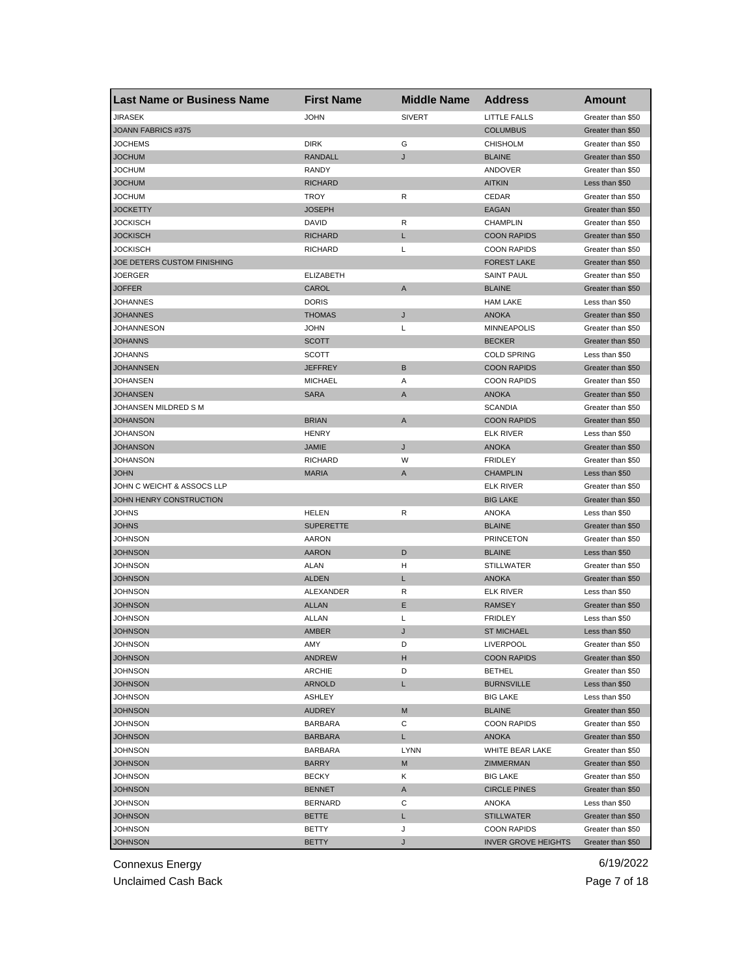| <b>Last Name or Business Name</b> | <b>First Name</b> | <b>Middle Name</b> | <b>Address</b>             | Amount            |
|-----------------------------------|-------------------|--------------------|----------------------------|-------------------|
| JIRASEK                           | <b>JOHN</b>       | <b>SIVERT</b>      | LITTLE FALLS               | Greater than \$50 |
| JOANN FABRICS #375                |                   |                    | <b>COLUMBUS</b>            | Greater than \$50 |
| <b>JOCHEMS</b>                    | <b>DIRK</b>       | G                  | <b>CHISHOLM</b>            | Greater than \$50 |
| <b>JOCHUM</b>                     | <b>RANDALL</b>    | J                  | <b>BLAINE</b>              | Greater than \$50 |
| <b>JOCHUM</b>                     | <b>RANDY</b>      |                    | ANDOVER                    | Greater than \$50 |
| <b>JOCHUM</b>                     | <b>RICHARD</b>    |                    | <b>AITKIN</b>              | Less than \$50    |
| <b>JOCHUM</b>                     | <b>TROY</b>       | R                  | CEDAR                      | Greater than \$50 |
| <b>JOCKETTY</b>                   | <b>JOSEPH</b>     |                    | <b>EAGAN</b>               | Greater than \$50 |
| JOCKISCH                          | <b>DAVID</b>      | R                  | <b>CHAMPLIN</b>            | Greater than \$50 |
| <b>JOCKISCH</b>                   | <b>RICHARD</b>    | L                  | <b>COON RAPIDS</b>         | Greater than \$50 |
| JOCKISCH                          | RICHARD           | L                  | <b>COON RAPIDS</b>         | Greater than \$50 |
| JOE DETERS CUSTOM FINISHING       |                   |                    | <b>FOREST LAKE</b>         | Greater than \$50 |
| JOERGER                           | <b>ELIZABETH</b>  |                    | <b>SAINT PAUL</b>          | Greater than \$50 |
| <b>JOFFER</b>                     | CAROL             | A                  | <b>BLAINE</b>              | Greater than \$50 |
| JOHANNES                          | <b>DORIS</b>      |                    | <b>HAM LAKE</b>            | Less than \$50    |
| <b>JOHANNES</b>                   | <b>THOMAS</b>     | J                  | <b>ANOKA</b>               | Greater than \$50 |
| <b>JOHANNESON</b>                 | <b>JOHN</b>       | L                  | <b>MINNEAPOLIS</b>         | Greater than \$50 |
| <b>JOHANNS</b>                    | <b>SCOTT</b>      |                    | <b>BECKER</b>              | Greater than \$50 |
| <b>JOHANNS</b>                    | <b>SCOTT</b>      |                    | <b>COLD SPRING</b>         | Less than \$50    |
| <b>JOHANNSEN</b>                  | <b>JEFFREY</b>    | B                  | <b>COON RAPIDS</b>         | Greater than \$50 |
| JOHANSEN                          | <b>MICHAEL</b>    | Α                  | <b>COON RAPIDS</b>         | Greater than \$50 |
| <b>JOHANSEN</b>                   | <b>SARA</b>       | A                  | <b>ANOKA</b>               | Greater than \$50 |
| JOHANSEN MILDRED S M              |                   |                    | <b>SCANDIA</b>             | Greater than \$50 |
| <b>JOHANSON</b>                   | <b>BRIAN</b>      | A                  | <b>COON RAPIDS</b>         | Greater than \$50 |
| JOHANSON                          | <b>HENRY</b>      |                    | <b>ELK RIVER</b>           | Less than \$50    |
| <b>JOHANSON</b>                   | <b>JAMIE</b>      | J                  | <b>ANOKA</b>               | Greater than \$50 |
| JOHANSON                          | <b>RICHARD</b>    | W                  | <b>FRIDLEY</b>             | Greater than \$50 |
| <b>JOHN</b>                       | <b>MARIA</b>      | A                  | <b>CHAMPLIN</b>            | Less than \$50    |
| JOHN C WEICHT & ASSOCS LLP        |                   |                    | <b>ELK RIVER</b>           | Greater than \$50 |
| JOHN HENRY CONSTRUCTION           |                   |                    | <b>BIG LAKE</b>            | Greater than \$50 |
| JOHNS                             | HELEN             | R                  | ANOKA                      | Less than \$50    |
| <b>JOHNS</b>                      | <b>SUPERETTE</b>  |                    | <b>BLAINE</b>              | Greater than \$50 |
| JOHNSON                           | <b>AARON</b>      |                    | <b>PRINCETON</b>           | Greater than \$50 |
| <b>JOHNSON</b>                    | <b>AARON</b>      | D                  | <b>BLAINE</b>              | Less than \$50    |
| JOHNSON                           | <b>ALAN</b>       | н                  | <b>STILLWATER</b>          | Greater than \$50 |
| <b>JOHNSON</b>                    | <b>ALDEN</b>      | L                  | <b>ANOKA</b>               | Greater than \$50 |
| JOHNSON                           | ALEXANDER         | R                  | <b>ELK RIVER</b>           | Less than \$50    |
| <b>JOHNSON</b>                    | <b>ALLAN</b>      | Е                  | <b>RAMSEY</b>              | Greater than \$50 |
| JOHNSON                           | <b>ALLAN</b>      | Г                  | <b>FRIDLEY</b>             | Less than \$50    |
| <b>JOHNSON</b>                    | <b>AMBER</b>      | J                  | <b>ST MICHAEL</b>          | Less than \$50    |
| <b>JOHNSON</b>                    | AMY               | D                  | <b>LIVERPOOL</b>           | Greater than \$50 |
| <b>JOHNSON</b>                    | ANDREW            | H                  | <b>COON RAPIDS</b>         | Greater than \$50 |
| JOHNSON                           | ARCHIE            | D                  | <b>BETHEL</b>              | Greater than \$50 |
| <b>JOHNSON</b>                    | <b>ARNOLD</b>     | L                  | <b>BURNSVILLE</b>          | Less than \$50    |
| JOHNSON                           | ASHLEY            |                    | <b>BIG LAKE</b>            | Less than \$50    |
| <b>JOHNSON</b>                    | <b>AUDREY</b>     | M                  | <b>BLAINE</b>              | Greater than \$50 |
| <b>JOHNSON</b>                    | <b>BARBARA</b>    | С                  | <b>COON RAPIDS</b>         | Greater than \$50 |
| <b>JOHNSON</b>                    | <b>BARBARA</b>    | L.                 | ANOKA                      | Greater than \$50 |
| JOHNSON                           | <b>BARBARA</b>    | <b>LYNN</b>        | WHITE BEAR LAKE            | Greater than \$50 |
| <b>JOHNSON</b>                    | <b>BARRY</b>      | M                  | ZIMMERMAN                  | Greater than \$50 |
| JOHNSON                           | <b>BECKY</b>      | Κ                  | <b>BIG LAKE</b>            | Greater than \$50 |
| <b>JOHNSON</b>                    | <b>BENNET</b>     | A                  | <b>CIRCLE PINES</b>        | Greater than \$50 |
| JOHNSON                           | <b>BERNARD</b>    | С                  | ANOKA                      | Less than \$50    |
| <b>JOHNSON</b>                    | <b>BETTE</b>      | L                  | <b>STILLWATER</b>          | Greater than \$50 |
| JOHNSON                           | BETTY             | J                  | <b>COON RAPIDS</b>         | Greater than \$50 |
| <b>JOHNSON</b>                    | <b>BETTY</b>      | J                  | <b>INVER GROVE HEIGHTS</b> | Greater than \$50 |
|                                   |                   |                    |                            |                   |

Unclaimed Cash Back **Page 7 of 18**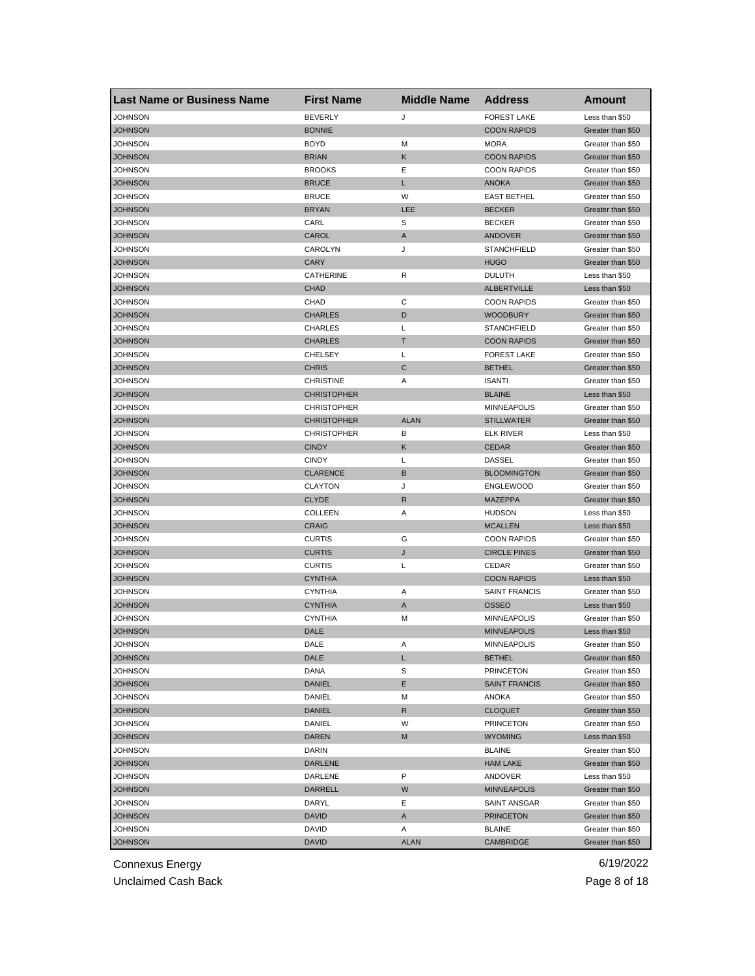| <b>Last Name or Business Name</b> | <b>First Name</b>  | <b>Middle Name</b> | <b>Address</b>       | Amount            |
|-----------------------------------|--------------------|--------------------|----------------------|-------------------|
| JOHNSON                           | <b>BEVERLY</b>     | J                  | <b>FOREST LAKE</b>   | Less than \$50    |
| <b>JOHNSON</b>                    | <b>BONNIE</b>      |                    | <b>COON RAPIDS</b>   | Greater than \$50 |
| JOHNSON                           | <b>BOYD</b>        | M                  | <b>MORA</b>          | Greater than \$50 |
| <b>JOHNSON</b>                    | <b>BRIAN</b>       | Κ                  | <b>COON RAPIDS</b>   | Greater than \$50 |
| JOHNSON                           | <b>BROOKS</b>      | Ε                  | <b>COON RAPIDS</b>   | Greater than \$50 |
| <b>JOHNSON</b>                    | <b>BRUCE</b>       | L                  | <b>ANOKA</b>         | Greater than \$50 |
| JOHNSON                           | <b>BRUCE</b>       | W                  | <b>EAST BETHEL</b>   | Greater than \$50 |
| JOHNSON                           | <b>BRYAN</b>       | LEE                | <b>BECKER</b>        | Greater than \$50 |
| JOHNSON                           | CARL               | S                  | <b>BECKER</b>        | Greater than \$50 |
| <b>JOHNSON</b>                    | CAROL              | A                  | ANDOVER              | Greater than \$50 |
| JOHNSON                           | CAROLYN            | J                  | <b>STANCHFIELD</b>   | Greater than \$50 |
| <b>JOHNSON</b>                    | <b>CARY</b>        |                    | <b>HUGO</b>          | Greater than \$50 |
| JOHNSON                           | CATHERINE          | R                  | <b>DULUTH</b>        | Less than \$50    |
| <b>JOHNSON</b>                    | <b>CHAD</b>        |                    | <b>ALBERTVILLE</b>   | Less than \$50    |
| JOHNSON                           | <b>CHAD</b>        | C                  | <b>COON RAPIDS</b>   | Greater than \$50 |
| JOHNSON                           | <b>CHARLES</b>     | D                  | <b>WOODBURY</b>      | Greater than \$50 |
| JOHNSON                           | <b>CHARLES</b>     | L                  | <b>STANCHFIELD</b>   | Greater than \$50 |
| <b>JOHNSON</b>                    | <b>CHARLES</b>     | T                  | <b>COON RAPIDS</b>   | Greater than \$50 |
| JOHNSON                           | <b>CHELSEY</b>     | L                  | <b>FOREST LAKE</b>   | Greater than \$50 |
| <b>JOHNSON</b>                    | <b>CHRIS</b>       | C                  | <b>BETHEL</b>        | Greater than \$50 |
| JOHNSON                           | <b>CHRISTINE</b>   | Α                  | <b>ISANTI</b>        | Greater than \$50 |
| <b>JOHNSON</b>                    | <b>CHRISTOPHER</b> |                    | <b>BLAINE</b>        | Less than \$50    |
| <b>JOHNSON</b>                    | <b>CHRISTOPHER</b> |                    | <b>MINNEAPOLIS</b>   | Greater than \$50 |
| JOHNSON                           | <b>CHRISTOPHER</b> | <b>ALAN</b>        | <b>STILLWATER</b>    | Greater than \$50 |
| JOHNSON                           | <b>CHRISTOPHER</b> | В                  | <b>ELK RIVER</b>     | Less than \$50    |
| <b>JOHNSON</b>                    | <b>CINDY</b>       | Κ                  | <b>CEDAR</b>         | Greater than \$50 |
| JOHNSON                           | <b>CINDY</b>       | L                  | <b>DASSEL</b>        | Greater than \$50 |
| <b>JOHNSON</b>                    | <b>CLARENCE</b>    | B                  | <b>BLOOMINGTON</b>   | Greater than \$50 |
| JOHNSON                           | <b>CLAYTON</b>     | J                  | <b>ENGLEWOOD</b>     | Greater than \$50 |
| <b>JOHNSON</b>                    | <b>CLYDE</b>       | R                  | <b>MAZEPPA</b>       | Greater than \$50 |
| JOHNSON                           | COLLEEN            | Α                  | <b>HUDSON</b>        | Less than \$50    |
| <b>JOHNSON</b>                    | <b>CRAIG</b>       |                    | <b>MCALLEN</b>       | Less than \$50    |
| JOHNSON                           | <b>CURTIS</b>      | G                  | <b>COON RAPIDS</b>   | Greater than \$50 |
| <b>JOHNSON</b>                    | <b>CURTIS</b>      | J                  | <b>CIRCLE PINES</b>  | Greater than \$50 |
| JOHNSON                           | <b>CURTIS</b>      | L                  | CEDAR                | Greater than \$50 |
| <b>JOHNSON</b>                    | <b>CYNTHIA</b>     |                    | <b>COON RAPIDS</b>   | Less than \$50    |
| JOHNSON                           | <b>CYNTHIA</b>     | Α                  | <b>SAINT FRANCIS</b> | Greater than \$50 |
| <b>JOHNSON</b>                    | <b>CYNTHIA</b>     | A                  | <b>OSSEO</b>         | Less than \$50    |
| JOHNSON                           | <b>CYNTHIA</b>     | М                  | <b>MINNEAPOLIS</b>   | Greater than \$50 |
| JOHNSON                           | DALE               |                    | <b>MINNEAPOLIS</b>   | Less than \$50    |
| <b>JOHNSON</b>                    | DALE               | A                  | <b>MINNEAPOLIS</b>   | Greater than \$50 |
| <b>JOHNSON</b>                    | DALE               | L                  | <b>BETHEL</b>        | Greater than \$50 |
| <b>JOHNSON</b>                    | DANA               | S                  | <b>PRINCETON</b>     | Greater than \$50 |
| <b>JOHNSON</b>                    | DANIEL             | Е                  | <b>SAINT FRANCIS</b> | Greater than \$50 |
| <b>JOHNSON</b>                    | DANIEL             | М                  | ANOKA                | Greater than \$50 |
| <b>JOHNSON</b>                    | <b>DANIEL</b>      | $\mathsf{R}$       | <b>CLOQUET</b>       | Greater than \$50 |
| <b>JOHNSON</b>                    | DANIEL             | W                  | <b>PRINCETON</b>     | Greater than \$50 |
| <b>JOHNSON</b>                    | <b>DAREN</b>       |                    | <b>WYOMING</b>       | Less than \$50    |
|                                   |                    | M                  | <b>BLAINE</b>        |                   |
| JOHNSON                           | DARIN              |                    |                      | Greater than \$50 |
| <b>JOHNSON</b>                    | <b>DARLENE</b>     |                    | <b>HAM LAKE</b>      | Greater than \$50 |
| JOHNSON                           | DARLENE            | P                  | ANDOVER              | Less than \$50    |
| <b>JOHNSON</b>                    | <b>DARRELL</b>     | W                  | <b>MINNEAPOLIS</b>   | Greater than \$50 |
| JOHNSON                           | DARYL              | Е                  | SAINT ANSGAR         | Greater than \$50 |
| JOHNSON                           | DAVID              | A                  | <b>PRINCETON</b>     | Greater than \$50 |
| <b>JOHNSON</b>                    | DAVID              | Α                  | <b>BLAINE</b>        | Greater than \$50 |
| <b>JOHNSON</b>                    | <b>DAVID</b>       | <b>ALAN</b>        | <b>CAMBRIDGE</b>     | Greater than \$50 |

Unclaimed Cash Back **Page 8 of 18**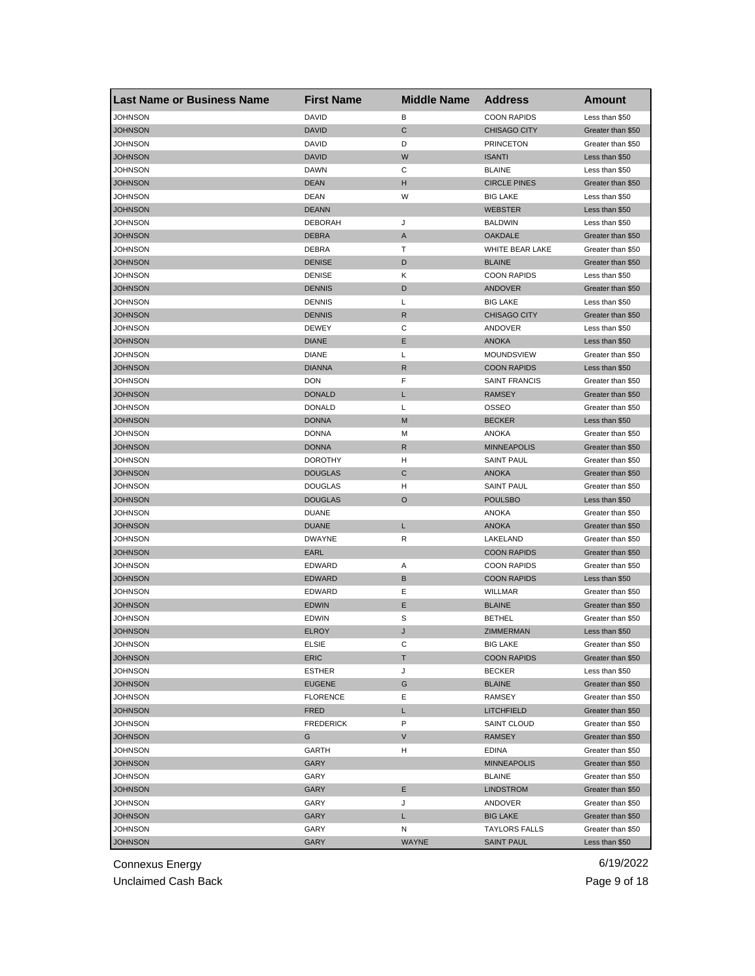| <b>Last Name or Business Name</b> | <b>First Name</b> | <b>Middle Name</b> | <b>Address</b>       | <b>Amount</b>     |
|-----------------------------------|-------------------|--------------------|----------------------|-------------------|
| <b>JOHNSON</b>                    | <b>DAVID</b>      | в                  | <b>COON RAPIDS</b>   | Less than \$50    |
| <b>JOHNSON</b>                    | <b>DAVID</b>      | C                  | <b>CHISAGO CITY</b>  | Greater than \$50 |
| JOHNSON                           | <b>DAVID</b>      | D                  | <b>PRINCETON</b>     | Greater than \$50 |
| JOHNSON                           | <b>DAVID</b>      | W                  | <b>ISANTI</b>        | Less than \$50    |
| JOHNSON                           | <b>DAWN</b>       | С                  | <b>BLAINE</b>        | Less than \$50    |
| <b>JOHNSON</b>                    | <b>DEAN</b>       | н                  | <b>CIRCLE PINES</b>  | Greater than \$50 |
| JOHNSON                           | <b>DEAN</b>       | W                  | <b>BIG LAKE</b>      | Less than \$50    |
| JOHNSON                           | <b>DEANN</b>      |                    | <b>WEBSTER</b>       | Less than \$50    |
| JOHNSON                           | <b>DEBORAH</b>    | J                  | <b>BALDWIN</b>       | Less than \$50    |
| JOHNSON                           | <b>DEBRA</b>      | A                  | <b>OAKDALE</b>       | Greater than \$50 |
| JOHNSON                           | DEBRA             | т                  | WHITE BEAR LAKE      | Greater than \$50 |
| <b>JOHNSON</b>                    | <b>DENISE</b>     | D                  | <b>BLAINE</b>        | Greater than \$50 |
| JOHNSON                           | <b>DENISE</b>     | Κ                  | <b>COON RAPIDS</b>   | Less than \$50    |
| <b>JOHNSON</b>                    | <b>DENNIS</b>     | D                  | <b>ANDOVER</b>       | Greater than \$50 |
| JOHNSON                           | <b>DENNIS</b>     | L                  | <b>BIG LAKE</b>      | Less than \$50    |
| JOHNSON                           | <b>DENNIS</b>     | R                  | <b>CHISAGO CITY</b>  | Greater than \$50 |
| JOHNSON                           | <b>DEWEY</b>      | С                  | ANDOVER              | Less than \$50    |
| JOHNSON                           | <b>DIANE</b>      | Ε                  | <b>ANOKA</b>         | Less than \$50    |
| JOHNSON                           | <b>DIANE</b>      | L                  | MOUNDSVIEW           | Greater than \$50 |
| <b>JOHNSON</b>                    | <b>DIANNA</b>     | R                  | <b>COON RAPIDS</b>   | Less than \$50    |
| JOHNSON                           | DON               | F                  | <b>SAINT FRANCIS</b> | Greater than \$50 |
| <b>JOHNSON</b>                    | <b>DONALD</b>     | L                  | <b>RAMSEY</b>        | Greater than \$50 |
| <b>JOHNSON</b>                    | <b>DONALD</b>     | Г                  | <b>OSSEO</b>         | Greater than \$50 |
| <b>JOHNSON</b>                    | <b>DONNA</b>      | M                  | <b>BECKER</b>        | Less than \$50    |
| <b>JOHNSON</b>                    | <b>DONNA</b>      | M                  | <b>ANOKA</b>         | Greater than \$50 |
| JOHNSON                           | <b>DONNA</b>      | R                  | <b>MINNEAPOLIS</b>   | Greater than \$50 |
| JOHNSON                           | <b>DOROTHY</b>    | н                  | <b>SAINT PAUL</b>    | Greater than \$50 |
| <b>JOHNSON</b>                    | <b>DOUGLAS</b>    | C                  | <b>ANOKA</b>         | Greater than \$50 |
| JOHNSON                           | <b>DOUGLAS</b>    | H                  | <b>SAINT PAUL</b>    | Greater than \$50 |
| <b>JOHNSON</b>                    | <b>DOUGLAS</b>    | O                  | <b>POULSBO</b>       | Less than \$50    |
| JOHNSON                           | <b>DUANE</b>      |                    | ANOKA                | Greater than \$50 |
| <b>JOHNSON</b>                    | <b>DUANE</b>      | L                  | <b>ANOKA</b>         | Greater than \$50 |
| JOHNSON                           | <b>DWAYNE</b>     | R                  | LAKELAND             | Greater than \$50 |
| JOHNSON                           | <b>EARL</b>       |                    | <b>COON RAPIDS</b>   | Greater than \$50 |
| JOHNSON                           | <b>EDWARD</b>     | Α                  | <b>COON RAPIDS</b>   | Greater than \$50 |
| JOHNSON                           | <b>EDWARD</b>     | В                  | <b>COON RAPIDS</b>   | Less than \$50    |
| <b>JOHNSON</b>                    | <b>EDWARD</b>     | Ε                  | <b>WILLMAR</b>       | Greater than \$50 |
| <b>JOHNSON</b>                    | <b>EDWIN</b>      | Е                  | <b>BLAINE</b>        | Greater than \$50 |
| <b>JOHNSON</b>                    | <b>EDWIN</b>      | S                  | <b>BETHEL</b>        | Greater than \$50 |
| JOHNSON                           | <b>ELROY</b>      | J                  | ZIMMERMAN            | Less than \$50    |
| JOHNSON                           | ELSIE             | C                  | BIG LAKE             | Greater than \$50 |
| <b>JOHNSON</b>                    | ERIC              | т                  | <b>COON RAPIDS</b>   | Greater than \$50 |
| <b>JOHNSON</b>                    | <b>ESTHER</b>     | J                  | <b>BECKER</b>        | Less than \$50    |
| <b>JOHNSON</b>                    | <b>EUGENE</b>     | G                  | <b>BLAINE</b>        | Greater than \$50 |
| <b>JOHNSON</b>                    | <b>FLORENCE</b>   | Е                  | RAMSEY               | Greater than \$50 |
| <b>JOHNSON</b>                    | <b>FRED</b>       | L                  | <b>LITCHFIELD</b>    | Greater than \$50 |
| <b>JOHNSON</b>                    | <b>FREDERICK</b>  | P                  | SAINT CLOUD          | Greater than \$50 |
| <b>JOHNSON</b>                    | G                 | V                  | <b>RAMSEY</b>        | Greater than \$50 |
| JOHNSON                           | <b>GARTH</b>      | н                  | <b>EDINA</b>         | Greater than \$50 |
| <b>JOHNSON</b>                    | GARY              |                    | <b>MINNEAPOLIS</b>   | Greater than \$50 |
| JOHNSON                           | GARY              |                    | <b>BLAINE</b>        | Greater than \$50 |
| <b>JOHNSON</b>                    | GARY              | Е                  | <b>LINDSTROM</b>     | Greater than \$50 |
| JOHNSON                           | GARY              | J                  | ANDOVER              | Greater than \$50 |
| <b>JOHNSON</b>                    | GARY              | L                  | <b>BIG LAKE</b>      | Greater than \$50 |
| JOHNSON                           | GARY              | N                  | <b>TAYLORS FALLS</b> | Greater than \$50 |
| <b>JOHNSON</b>                    | <b>GARY</b>       | WAYNE              | <b>SAINT PAUL</b>    | Less than \$50    |
|                                   |                   |                    |                      |                   |

Unclaimed Cash Back **Page 9 of 18**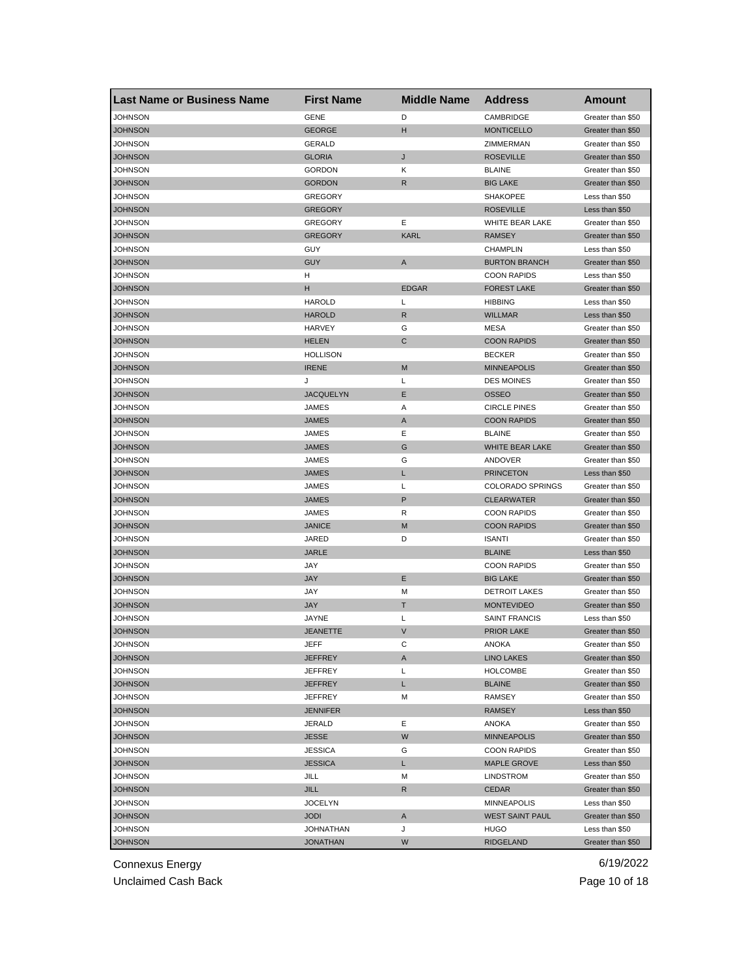| <b>Last Name or Business Name</b> | <b>First Name</b>         | <b>Middle Name</b> | <b>Address</b>          | Amount            |
|-----------------------------------|---------------------------|--------------------|-------------------------|-------------------|
| JOHNSON                           | <b>GENE</b>               | D                  | CAMBRIDGE               | Greater than \$50 |
| <b>JOHNSON</b>                    | <b>GEORGE</b>             | н                  | <b>MONTICELLO</b>       | Greater than \$50 |
| JOHNSON                           | <b>GERALD</b>             |                    | ZIMMERMAN               | Greater than \$50 |
| JOHNSON                           | <b>GLORIA</b>             | J                  | <b>ROSEVILLE</b>        | Greater than \$50 |
| <b>JOHNSON</b>                    | <b>GORDON</b>             | Κ                  | <b>BLAINE</b>           | Greater than \$50 |
| <b>JOHNSON</b>                    | <b>GORDON</b>             | R                  | <b>BIG LAKE</b>         | Greater than \$50 |
| JOHNSON                           | <b>GREGORY</b>            |                    | <b>SHAKOPEE</b>         | Less than \$50    |
| JOHNSON                           | <b>GREGORY</b>            |                    | <b>ROSEVILLE</b>        | Less than \$50    |
| JOHNSON                           | <b>GREGORY</b>            | Ε                  | WHITE BEAR LAKE         | Greater than \$50 |
| <b>JOHNSON</b>                    | <b>GREGORY</b>            | <b>KARL</b>        | <b>RAMSEY</b>           | Greater than \$50 |
| JOHNSON                           | GUY                       |                    | <b>CHAMPLIN</b>         | Less than \$50    |
| <b>JOHNSON</b>                    | <b>GUY</b>                | A                  | <b>BURTON BRANCH</b>    | Greater than \$50 |
| JOHNSON                           | н                         |                    | <b>COON RAPIDS</b>      | Less than \$50    |
| <b>JOHNSON</b>                    | н                         | <b>EDGAR</b>       | <b>FOREST LAKE</b>      | Greater than \$50 |
| JOHNSON                           | <b>HAROLD</b>             | L                  | <b>HIBBING</b>          | Less than \$50    |
| JOHNSON                           | <b>HAROLD</b>             | $\mathsf{R}$       | <b>WILLMAR</b>          | Less than \$50    |
| JOHNSON                           | HARVEY                    | G                  | <b>MESA</b>             | Greater than \$50 |
| <b>JOHNSON</b>                    | <b>HELEN</b>              | С                  | <b>COON RAPIDS</b>      | Greater than \$50 |
| JOHNSON                           | <b>HOLLISON</b>           |                    | <b>BECKER</b>           | Greater than \$50 |
| <b>JOHNSON</b>                    | <b>IRENE</b>              | M                  | <b>MINNEAPOLIS</b>      | Greater than \$50 |
| JOHNSON                           | J                         | Г                  | <b>DES MOINES</b>       | Greater than \$50 |
| <b>JOHNSON</b>                    | <b>JACQUELYN</b>          | Е                  | <b>OSSEO</b>            | Greater than \$50 |
| JOHNSON                           | JAMES                     | Α                  | <b>CIRCLE PINES</b>     | Greater than \$50 |
| JOHNSON                           | <b>JAMES</b>              | Α                  | <b>COON RAPIDS</b>      | Greater than \$50 |
| JOHNSON                           | JAMES                     | Ε                  | <b>BLAINE</b>           | Greater than \$50 |
| JOHNSON                           | <b>JAMES</b>              | G                  | WHITE BEAR LAKE         | Greater than \$50 |
| JOHNSON                           | JAMES                     | G                  | ANDOVER                 | Greater than \$50 |
| <b>JOHNSON</b>                    | <b>JAMES</b>              | L                  | <b>PRINCETON</b>        | Less than \$50    |
| JOHNSON                           | JAMES                     | L                  | <b>COLORADO SPRINGS</b> | Greater than \$50 |
| <b>JOHNSON</b>                    | <b>JAMES</b>              | P                  | <b>CLEARWATER</b>       | Greater than \$50 |
| JOHNSON                           | JAMES                     | R                  | <b>COON RAPIDS</b>      | Greater than \$50 |
| <b>JOHNSON</b>                    | <b>JANICE</b>             | M                  | <b>COON RAPIDS</b>      | Greater than \$50 |
| JOHNSON                           | JARED                     | D                  | <b>ISANTI</b>           | Greater than \$50 |
| <b>JOHNSON</b>                    | <b>JARLE</b>              |                    | <b>BLAINE</b>           | Less than \$50    |
| <b>JOHNSON</b>                    | JAY                       |                    | <b>COON RAPIDS</b>      | Greater than \$50 |
| <b>JOHNSON</b>                    | <b>JAY</b>                | Е                  | <b>BIG LAKE</b>         | Greater than \$50 |
| JOHNSON                           | JAY                       | M                  | <b>DETROIT LAKES</b>    | Greater than \$50 |
| <b>JOHNSON</b>                    | <b>JAY</b>                | т                  | <b>MONTEVIDEO</b>       | Greater than \$50 |
| JOHNSON                           | <b>JAYNE</b>              | Г                  | <b>SAINT FRANCIS</b>    | Less than \$50    |
| <b>JOHNSON</b>                    | <b>JEANETTE</b>           | V                  | <b>PRIOR LAKE</b>       | Greater than \$50 |
| <b>JOHNSON</b>                    | JEFF                      | С                  | ANOKA                   | Greater than \$50 |
| <b>JOHNSON</b>                    | JEFFREY                   | A                  | <b>LINO LAKES</b>       | Greater than \$50 |
| JOHNSON                           | <b>JEFFREY</b>            | Г                  | <b>HOLCOMBE</b>         | Greater than \$50 |
| <b>JOHNSON</b>                    | JEFFREY                   | L.                 | <b>BLAINE</b>           | Greater than \$50 |
| JOHNSON                           | JEFFREY                   | M                  | RAMSEY                  | Greater than \$50 |
| <b>JOHNSON</b>                    | <b>JENNIFER</b>           |                    | <b>RAMSEY</b>           | Less than \$50    |
| JOHNSON                           | JERALD                    | Е                  | ANOKA                   | Greater than \$50 |
|                                   |                           | W                  | <b>MINNEAPOLIS</b>      | Greater than \$50 |
| <b>JOHNSON</b><br>JOHNSON         | JESSE                     | G                  | <b>COON RAPIDS</b>      | Greater than \$50 |
|                                   | JESSICA<br><b>JESSICA</b> |                    |                         |                   |
| <b>JOHNSON</b>                    |                           | L                  | <b>MAPLE GROVE</b>      | Less than \$50    |
| JOHNSON                           | JILL                      | М                  | LINDSTROM               | Greater than \$50 |
| <b>JOHNSON</b>                    | JILL                      | R                  | CEDAR                   | Greater than \$50 |
| JOHNSON                           | <b>JOCELYN</b>            |                    | MINNEAPOLIS             | Less than \$50    |
| JOHNSON                           | <b>JODI</b>               | A                  | <b>WEST SAINT PAUL</b>  | Greater than \$50 |
| JOHNSON                           | <b>JOHNATHAN</b>          | J                  | HUGO                    | Less than \$50    |
| <b>JOHNSON</b>                    | <b>JONATHAN</b>           | W                  | <b>RIDGELAND</b>        | Greater than \$50 |

Unclaimed Cash Back **Page 10 of 18**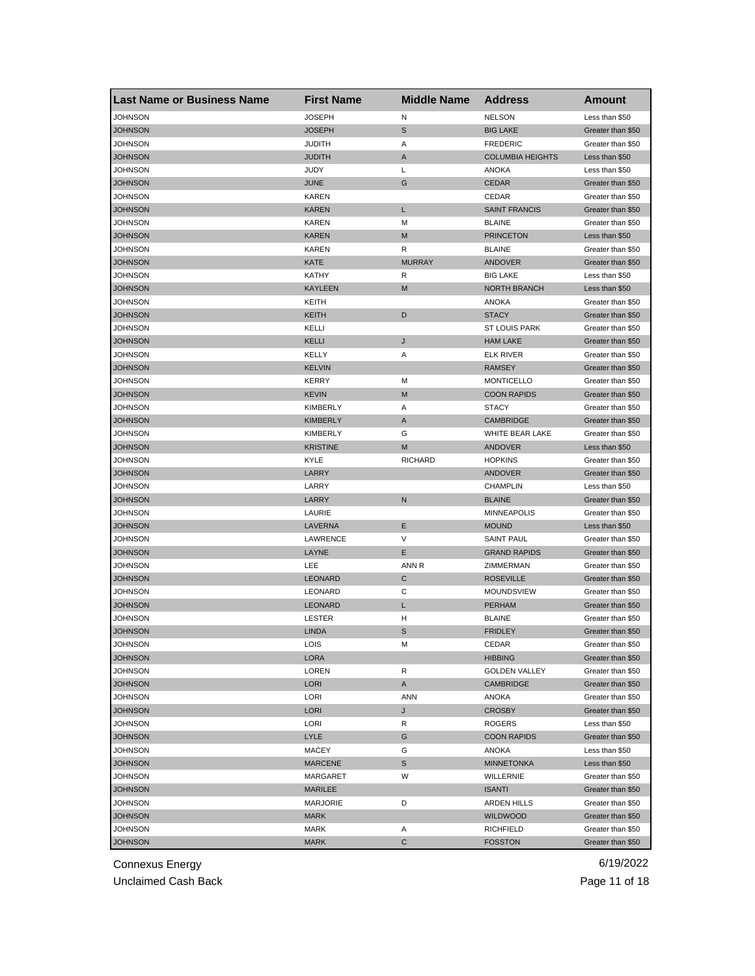| <b>NELSON</b><br>JOHNSON<br><b>JOSEPH</b><br>N<br>Less than \$50<br>$\mathbb S$<br><b>JOHNSON</b><br><b>JOSEPH</b><br><b>BIG LAKE</b><br>Greater than \$50<br>JOHNSON<br><b>JUDITH</b><br>Α<br><b>FREDERIC</b><br>Greater than \$50<br>JOHNSON<br><b>JUDITH</b><br>A<br><b>COLUMBIA HEIGHTS</b><br>Less than \$50<br>JUDY<br>Г<br>JOHNSON<br><b>ANOKA</b><br>Less than \$50<br><b>JOHNSON</b><br><b>JUNE</b><br>G<br><b>CEDAR</b><br>Greater than \$50<br>JOHNSON<br>KAREN<br>CEDAR<br>Greater than \$50<br>JOHNSON<br><b>KAREN</b><br>L<br><b>SAINT FRANCIS</b><br>Greater than \$50<br>JOHNSON<br><b>KAREN</b><br><b>BLAINE</b><br>Greater than \$50<br>M<br>JOHNSON<br><b>KAREN</b><br><b>PRINCETON</b><br>M<br>Less than \$50<br>JOHNSON<br><b>KAREN</b><br>R<br><b>BLAINE</b><br>Greater than \$50<br><b>KATE</b><br><b>MURRAY</b><br>JOHNSON<br>ANDOVER<br>Greater than \$50<br>JOHNSON<br>KATHY<br>R<br><b>BIG LAKE</b><br>Less than \$50<br><b>JOHNSON</b><br><b>KAYLEEN</b><br>M<br><b>NORTH BRANCH</b><br>Less than \$50<br>JOHNSON<br>KEITH<br>ANOKA<br>Greater than \$50<br>JOHNSON<br>KEITH<br>D<br><b>STACY</b><br>Greater than \$50<br>JOHNSON<br>KELLI<br><b>ST LOUIS PARK</b><br>Greater than \$50<br>JOHNSON<br>KELLI<br>J<br><b>HAM LAKE</b><br>Greater than \$50<br>JOHNSON<br>KELLY<br>Α<br><b>ELK RIVER</b><br>Greater than \$50<br><b>JOHNSON</b><br><b>KELVIN</b><br><b>RAMSEY</b><br>Greater than \$50<br>JOHNSON<br><b>KERRY</b><br>M<br><b>MONTICELLO</b><br>Greater than \$50<br><b>JOHNSON</b><br><b>KEVIN</b><br>M<br><b>COON RAPIDS</b><br>Greater than \$50<br>JOHNSON<br>KIMBERLY<br>Α<br><b>STACY</b><br>Greater than \$50<br><b>JOHNSON</b><br><b>KIMBERLY</b><br>Α<br><b>CAMBRIDGE</b><br>Greater than \$50<br>JOHNSON<br><b>KIMBERLY</b><br>G<br>WHITE BEAR LAKE<br>Greater than \$50<br>JOHNSON<br>M<br>ANDOVER<br><b>KRISTINE</b><br>Less than \$50<br>JOHNSON<br>KYLE<br><b>RICHARD</b><br><b>HOPKINS</b><br>Greater than \$50<br>LARRY<br><b>JOHNSON</b><br>ANDOVER<br>Greater than \$50<br>LARRY<br>JOHNSON<br><b>CHAMPLIN</b><br>Less than \$50<br><b>JOHNSON</b><br>LARRY<br>N<br><b>BLAINE</b><br>Greater than \$50<br>JOHNSON<br>LAURIE<br><b>MINNEAPOLIS</b><br>Greater than \$50<br>Е<br><b>JOHNSON</b><br>LAVERNA<br><b>MOUND</b><br>Less than \$50<br>V<br>LAWRENCE<br><b>SAINT PAUL</b><br>JOHNSON<br>Greater than \$50<br>Е<br>JOHNSON<br>LAYNE<br><b>GRAND RAPIDS</b><br>Greater than \$50<br>JOHNSON<br>LEE<br>ZIMMERMAN<br>ANN R<br>Greater than \$50<br>C<br>LEONARD<br><b>ROSEVILLE</b><br>JOHNSON<br>Greater than \$50<br>JOHNSON<br>С<br>MOUNDSVIEW<br>LEONARD<br>Greater than \$50<br><b>JOHNSON</b><br><b>LEONARD</b><br><b>PERHAM</b><br>L<br>Greater than \$50<br>JOHNSON<br>н<br><b>BLAINE</b><br>Greater than \$50<br>LESTER<br>JOHNSON<br><b>LINDA</b><br>S<br><b>FRIDLEY</b><br>Greater than \$50<br>JOHNSON<br><b>LOIS</b><br>M<br>CEDAR<br>Greater than \$50<br><b>JOHNSON</b><br>LORA<br><b>HIBBING</b><br>Greater than \$50<br><b>JOHNSON</b><br>LOREN<br>R<br><b>GOLDEN VALLEY</b><br>Greater than \$50<br><b>JOHNSON</b><br>LORI<br>A<br>CAMBRIDGE<br>Greater than \$50<br>JOHNSON<br>LORI<br>ANN<br>ANOKA<br>Greater than \$50<br><b>JOHNSON</b><br><b>LORI</b><br>J<br><b>CROSBY</b><br>Greater than \$50<br><b>JOHNSON</b><br>LORI<br>R<br><b>ROGERS</b><br>Less than \$50<br><b>JOHNSON</b><br>LYLE<br>G<br><b>COON RAPIDS</b><br>Greater than \$50<br>JOHNSON<br>MACEY<br>G<br>ANOKA<br>Less than \$50<br>S<br><b>JOHNSON</b><br><b>MARCENE</b><br><b>MINNETONKA</b><br>Less than \$50<br>JOHNSON<br>W<br>WILLERNIE<br>Greater than \$50<br>MARGARET<br><b>JOHNSON</b><br>MARILEE<br><b>ISANTI</b><br>Greater than \$50<br>JOHNSON<br>MARJORIE<br>D<br>ARDEN HILLS<br>Greater than \$50<br><b>JOHNSON</b><br><b>MARK</b><br><b>WILDWOOD</b><br>Greater than \$50<br>JOHNSON<br>MARK<br>Α<br><b>RICHFIELD</b><br>Greater than \$50 | <b>Last Name or Business Name</b> | <b>First Name</b> | <b>Middle Name</b> | <b>Address</b> | <b>Amount</b>     |
|-----------------------------------------------------------------------------------------------------------------------------------------------------------------------------------------------------------------------------------------------------------------------------------------------------------------------------------------------------------------------------------------------------------------------------------------------------------------------------------------------------------------------------------------------------------------------------------------------------------------------------------------------------------------------------------------------------------------------------------------------------------------------------------------------------------------------------------------------------------------------------------------------------------------------------------------------------------------------------------------------------------------------------------------------------------------------------------------------------------------------------------------------------------------------------------------------------------------------------------------------------------------------------------------------------------------------------------------------------------------------------------------------------------------------------------------------------------------------------------------------------------------------------------------------------------------------------------------------------------------------------------------------------------------------------------------------------------------------------------------------------------------------------------------------------------------------------------------------------------------------------------------------------------------------------------------------------------------------------------------------------------------------------------------------------------------------------------------------------------------------------------------------------------------------------------------------------------------------------------------------------------------------------------------------------------------------------------------------------------------------------------------------------------------------------------------------------------------------------------------------------------------------------------------------------------------------------------------------------------------------------------------------------------------------------------------------------------------------------------------------------------------------------------------------------------------------------------------------------------------------------------------------------------------------------------------------------------------------------------------------------------------------------------------------------------------------------------------------------------------------------------------------------------------------------------------------------------------------------------------------------------------------------------------------------------------------------------------------------------------------------------------------------------------------------------------------------------------------------------------------------------------------------------------------------------------------------------------------------------------------------------------------------------------------------------------------------------------------------------------------------------------------------------------------------------------------------------------------------------------------------------------------------------------|-----------------------------------|-------------------|--------------------|----------------|-------------------|
|                                                                                                                                                                                                                                                                                                                                                                                                                                                                                                                                                                                                                                                                                                                                                                                                                                                                                                                                                                                                                                                                                                                                                                                                                                                                                                                                                                                                                                                                                                                                                                                                                                                                                                                                                                                                                                                                                                                                                                                                                                                                                                                                                                                                                                                                                                                                                                                                                                                                                                                                                                                                                                                                                                                                                                                                                                                                                                                                                                                                                                                                                                                                                                                                                                                                                                                                                                                                                                                                                                                                                                                                                                                                                                                                                                                                                                                                                                                 |                                   |                   |                    |                |                   |
|                                                                                                                                                                                                                                                                                                                                                                                                                                                                                                                                                                                                                                                                                                                                                                                                                                                                                                                                                                                                                                                                                                                                                                                                                                                                                                                                                                                                                                                                                                                                                                                                                                                                                                                                                                                                                                                                                                                                                                                                                                                                                                                                                                                                                                                                                                                                                                                                                                                                                                                                                                                                                                                                                                                                                                                                                                                                                                                                                                                                                                                                                                                                                                                                                                                                                                                                                                                                                                                                                                                                                                                                                                                                                                                                                                                                                                                                                                                 |                                   |                   |                    |                |                   |
|                                                                                                                                                                                                                                                                                                                                                                                                                                                                                                                                                                                                                                                                                                                                                                                                                                                                                                                                                                                                                                                                                                                                                                                                                                                                                                                                                                                                                                                                                                                                                                                                                                                                                                                                                                                                                                                                                                                                                                                                                                                                                                                                                                                                                                                                                                                                                                                                                                                                                                                                                                                                                                                                                                                                                                                                                                                                                                                                                                                                                                                                                                                                                                                                                                                                                                                                                                                                                                                                                                                                                                                                                                                                                                                                                                                                                                                                                                                 |                                   |                   |                    |                |                   |
|                                                                                                                                                                                                                                                                                                                                                                                                                                                                                                                                                                                                                                                                                                                                                                                                                                                                                                                                                                                                                                                                                                                                                                                                                                                                                                                                                                                                                                                                                                                                                                                                                                                                                                                                                                                                                                                                                                                                                                                                                                                                                                                                                                                                                                                                                                                                                                                                                                                                                                                                                                                                                                                                                                                                                                                                                                                                                                                                                                                                                                                                                                                                                                                                                                                                                                                                                                                                                                                                                                                                                                                                                                                                                                                                                                                                                                                                                                                 |                                   |                   |                    |                |                   |
|                                                                                                                                                                                                                                                                                                                                                                                                                                                                                                                                                                                                                                                                                                                                                                                                                                                                                                                                                                                                                                                                                                                                                                                                                                                                                                                                                                                                                                                                                                                                                                                                                                                                                                                                                                                                                                                                                                                                                                                                                                                                                                                                                                                                                                                                                                                                                                                                                                                                                                                                                                                                                                                                                                                                                                                                                                                                                                                                                                                                                                                                                                                                                                                                                                                                                                                                                                                                                                                                                                                                                                                                                                                                                                                                                                                                                                                                                                                 |                                   |                   |                    |                |                   |
|                                                                                                                                                                                                                                                                                                                                                                                                                                                                                                                                                                                                                                                                                                                                                                                                                                                                                                                                                                                                                                                                                                                                                                                                                                                                                                                                                                                                                                                                                                                                                                                                                                                                                                                                                                                                                                                                                                                                                                                                                                                                                                                                                                                                                                                                                                                                                                                                                                                                                                                                                                                                                                                                                                                                                                                                                                                                                                                                                                                                                                                                                                                                                                                                                                                                                                                                                                                                                                                                                                                                                                                                                                                                                                                                                                                                                                                                                                                 |                                   |                   |                    |                |                   |
|                                                                                                                                                                                                                                                                                                                                                                                                                                                                                                                                                                                                                                                                                                                                                                                                                                                                                                                                                                                                                                                                                                                                                                                                                                                                                                                                                                                                                                                                                                                                                                                                                                                                                                                                                                                                                                                                                                                                                                                                                                                                                                                                                                                                                                                                                                                                                                                                                                                                                                                                                                                                                                                                                                                                                                                                                                                                                                                                                                                                                                                                                                                                                                                                                                                                                                                                                                                                                                                                                                                                                                                                                                                                                                                                                                                                                                                                                                                 |                                   |                   |                    |                |                   |
|                                                                                                                                                                                                                                                                                                                                                                                                                                                                                                                                                                                                                                                                                                                                                                                                                                                                                                                                                                                                                                                                                                                                                                                                                                                                                                                                                                                                                                                                                                                                                                                                                                                                                                                                                                                                                                                                                                                                                                                                                                                                                                                                                                                                                                                                                                                                                                                                                                                                                                                                                                                                                                                                                                                                                                                                                                                                                                                                                                                                                                                                                                                                                                                                                                                                                                                                                                                                                                                                                                                                                                                                                                                                                                                                                                                                                                                                                                                 |                                   |                   |                    |                |                   |
|                                                                                                                                                                                                                                                                                                                                                                                                                                                                                                                                                                                                                                                                                                                                                                                                                                                                                                                                                                                                                                                                                                                                                                                                                                                                                                                                                                                                                                                                                                                                                                                                                                                                                                                                                                                                                                                                                                                                                                                                                                                                                                                                                                                                                                                                                                                                                                                                                                                                                                                                                                                                                                                                                                                                                                                                                                                                                                                                                                                                                                                                                                                                                                                                                                                                                                                                                                                                                                                                                                                                                                                                                                                                                                                                                                                                                                                                                                                 |                                   |                   |                    |                |                   |
|                                                                                                                                                                                                                                                                                                                                                                                                                                                                                                                                                                                                                                                                                                                                                                                                                                                                                                                                                                                                                                                                                                                                                                                                                                                                                                                                                                                                                                                                                                                                                                                                                                                                                                                                                                                                                                                                                                                                                                                                                                                                                                                                                                                                                                                                                                                                                                                                                                                                                                                                                                                                                                                                                                                                                                                                                                                                                                                                                                                                                                                                                                                                                                                                                                                                                                                                                                                                                                                                                                                                                                                                                                                                                                                                                                                                                                                                                                                 |                                   |                   |                    |                |                   |
|                                                                                                                                                                                                                                                                                                                                                                                                                                                                                                                                                                                                                                                                                                                                                                                                                                                                                                                                                                                                                                                                                                                                                                                                                                                                                                                                                                                                                                                                                                                                                                                                                                                                                                                                                                                                                                                                                                                                                                                                                                                                                                                                                                                                                                                                                                                                                                                                                                                                                                                                                                                                                                                                                                                                                                                                                                                                                                                                                                                                                                                                                                                                                                                                                                                                                                                                                                                                                                                                                                                                                                                                                                                                                                                                                                                                                                                                                                                 |                                   |                   |                    |                |                   |
|                                                                                                                                                                                                                                                                                                                                                                                                                                                                                                                                                                                                                                                                                                                                                                                                                                                                                                                                                                                                                                                                                                                                                                                                                                                                                                                                                                                                                                                                                                                                                                                                                                                                                                                                                                                                                                                                                                                                                                                                                                                                                                                                                                                                                                                                                                                                                                                                                                                                                                                                                                                                                                                                                                                                                                                                                                                                                                                                                                                                                                                                                                                                                                                                                                                                                                                                                                                                                                                                                                                                                                                                                                                                                                                                                                                                                                                                                                                 |                                   |                   |                    |                |                   |
|                                                                                                                                                                                                                                                                                                                                                                                                                                                                                                                                                                                                                                                                                                                                                                                                                                                                                                                                                                                                                                                                                                                                                                                                                                                                                                                                                                                                                                                                                                                                                                                                                                                                                                                                                                                                                                                                                                                                                                                                                                                                                                                                                                                                                                                                                                                                                                                                                                                                                                                                                                                                                                                                                                                                                                                                                                                                                                                                                                                                                                                                                                                                                                                                                                                                                                                                                                                                                                                                                                                                                                                                                                                                                                                                                                                                                                                                                                                 |                                   |                   |                    |                |                   |
|                                                                                                                                                                                                                                                                                                                                                                                                                                                                                                                                                                                                                                                                                                                                                                                                                                                                                                                                                                                                                                                                                                                                                                                                                                                                                                                                                                                                                                                                                                                                                                                                                                                                                                                                                                                                                                                                                                                                                                                                                                                                                                                                                                                                                                                                                                                                                                                                                                                                                                                                                                                                                                                                                                                                                                                                                                                                                                                                                                                                                                                                                                                                                                                                                                                                                                                                                                                                                                                                                                                                                                                                                                                                                                                                                                                                                                                                                                                 |                                   |                   |                    |                |                   |
|                                                                                                                                                                                                                                                                                                                                                                                                                                                                                                                                                                                                                                                                                                                                                                                                                                                                                                                                                                                                                                                                                                                                                                                                                                                                                                                                                                                                                                                                                                                                                                                                                                                                                                                                                                                                                                                                                                                                                                                                                                                                                                                                                                                                                                                                                                                                                                                                                                                                                                                                                                                                                                                                                                                                                                                                                                                                                                                                                                                                                                                                                                                                                                                                                                                                                                                                                                                                                                                                                                                                                                                                                                                                                                                                                                                                                                                                                                                 |                                   |                   |                    |                |                   |
|                                                                                                                                                                                                                                                                                                                                                                                                                                                                                                                                                                                                                                                                                                                                                                                                                                                                                                                                                                                                                                                                                                                                                                                                                                                                                                                                                                                                                                                                                                                                                                                                                                                                                                                                                                                                                                                                                                                                                                                                                                                                                                                                                                                                                                                                                                                                                                                                                                                                                                                                                                                                                                                                                                                                                                                                                                                                                                                                                                                                                                                                                                                                                                                                                                                                                                                                                                                                                                                                                                                                                                                                                                                                                                                                                                                                                                                                                                                 |                                   |                   |                    |                |                   |
|                                                                                                                                                                                                                                                                                                                                                                                                                                                                                                                                                                                                                                                                                                                                                                                                                                                                                                                                                                                                                                                                                                                                                                                                                                                                                                                                                                                                                                                                                                                                                                                                                                                                                                                                                                                                                                                                                                                                                                                                                                                                                                                                                                                                                                                                                                                                                                                                                                                                                                                                                                                                                                                                                                                                                                                                                                                                                                                                                                                                                                                                                                                                                                                                                                                                                                                                                                                                                                                                                                                                                                                                                                                                                                                                                                                                                                                                                                                 |                                   |                   |                    |                |                   |
|                                                                                                                                                                                                                                                                                                                                                                                                                                                                                                                                                                                                                                                                                                                                                                                                                                                                                                                                                                                                                                                                                                                                                                                                                                                                                                                                                                                                                                                                                                                                                                                                                                                                                                                                                                                                                                                                                                                                                                                                                                                                                                                                                                                                                                                                                                                                                                                                                                                                                                                                                                                                                                                                                                                                                                                                                                                                                                                                                                                                                                                                                                                                                                                                                                                                                                                                                                                                                                                                                                                                                                                                                                                                                                                                                                                                                                                                                                                 |                                   |                   |                    |                |                   |
|                                                                                                                                                                                                                                                                                                                                                                                                                                                                                                                                                                                                                                                                                                                                                                                                                                                                                                                                                                                                                                                                                                                                                                                                                                                                                                                                                                                                                                                                                                                                                                                                                                                                                                                                                                                                                                                                                                                                                                                                                                                                                                                                                                                                                                                                                                                                                                                                                                                                                                                                                                                                                                                                                                                                                                                                                                                                                                                                                                                                                                                                                                                                                                                                                                                                                                                                                                                                                                                                                                                                                                                                                                                                                                                                                                                                                                                                                                                 |                                   |                   |                    |                |                   |
|                                                                                                                                                                                                                                                                                                                                                                                                                                                                                                                                                                                                                                                                                                                                                                                                                                                                                                                                                                                                                                                                                                                                                                                                                                                                                                                                                                                                                                                                                                                                                                                                                                                                                                                                                                                                                                                                                                                                                                                                                                                                                                                                                                                                                                                                                                                                                                                                                                                                                                                                                                                                                                                                                                                                                                                                                                                                                                                                                                                                                                                                                                                                                                                                                                                                                                                                                                                                                                                                                                                                                                                                                                                                                                                                                                                                                                                                                                                 |                                   |                   |                    |                |                   |
|                                                                                                                                                                                                                                                                                                                                                                                                                                                                                                                                                                                                                                                                                                                                                                                                                                                                                                                                                                                                                                                                                                                                                                                                                                                                                                                                                                                                                                                                                                                                                                                                                                                                                                                                                                                                                                                                                                                                                                                                                                                                                                                                                                                                                                                                                                                                                                                                                                                                                                                                                                                                                                                                                                                                                                                                                                                                                                                                                                                                                                                                                                                                                                                                                                                                                                                                                                                                                                                                                                                                                                                                                                                                                                                                                                                                                                                                                                                 |                                   |                   |                    |                |                   |
|                                                                                                                                                                                                                                                                                                                                                                                                                                                                                                                                                                                                                                                                                                                                                                                                                                                                                                                                                                                                                                                                                                                                                                                                                                                                                                                                                                                                                                                                                                                                                                                                                                                                                                                                                                                                                                                                                                                                                                                                                                                                                                                                                                                                                                                                                                                                                                                                                                                                                                                                                                                                                                                                                                                                                                                                                                                                                                                                                                                                                                                                                                                                                                                                                                                                                                                                                                                                                                                                                                                                                                                                                                                                                                                                                                                                                                                                                                                 |                                   |                   |                    |                |                   |
|                                                                                                                                                                                                                                                                                                                                                                                                                                                                                                                                                                                                                                                                                                                                                                                                                                                                                                                                                                                                                                                                                                                                                                                                                                                                                                                                                                                                                                                                                                                                                                                                                                                                                                                                                                                                                                                                                                                                                                                                                                                                                                                                                                                                                                                                                                                                                                                                                                                                                                                                                                                                                                                                                                                                                                                                                                                                                                                                                                                                                                                                                                                                                                                                                                                                                                                                                                                                                                                                                                                                                                                                                                                                                                                                                                                                                                                                                                                 |                                   |                   |                    |                |                   |
|                                                                                                                                                                                                                                                                                                                                                                                                                                                                                                                                                                                                                                                                                                                                                                                                                                                                                                                                                                                                                                                                                                                                                                                                                                                                                                                                                                                                                                                                                                                                                                                                                                                                                                                                                                                                                                                                                                                                                                                                                                                                                                                                                                                                                                                                                                                                                                                                                                                                                                                                                                                                                                                                                                                                                                                                                                                                                                                                                                                                                                                                                                                                                                                                                                                                                                                                                                                                                                                                                                                                                                                                                                                                                                                                                                                                                                                                                                                 |                                   |                   |                    |                |                   |
|                                                                                                                                                                                                                                                                                                                                                                                                                                                                                                                                                                                                                                                                                                                                                                                                                                                                                                                                                                                                                                                                                                                                                                                                                                                                                                                                                                                                                                                                                                                                                                                                                                                                                                                                                                                                                                                                                                                                                                                                                                                                                                                                                                                                                                                                                                                                                                                                                                                                                                                                                                                                                                                                                                                                                                                                                                                                                                                                                                                                                                                                                                                                                                                                                                                                                                                                                                                                                                                                                                                                                                                                                                                                                                                                                                                                                                                                                                                 |                                   |                   |                    |                |                   |
|                                                                                                                                                                                                                                                                                                                                                                                                                                                                                                                                                                                                                                                                                                                                                                                                                                                                                                                                                                                                                                                                                                                                                                                                                                                                                                                                                                                                                                                                                                                                                                                                                                                                                                                                                                                                                                                                                                                                                                                                                                                                                                                                                                                                                                                                                                                                                                                                                                                                                                                                                                                                                                                                                                                                                                                                                                                                                                                                                                                                                                                                                                                                                                                                                                                                                                                                                                                                                                                                                                                                                                                                                                                                                                                                                                                                                                                                                                                 |                                   |                   |                    |                |                   |
|                                                                                                                                                                                                                                                                                                                                                                                                                                                                                                                                                                                                                                                                                                                                                                                                                                                                                                                                                                                                                                                                                                                                                                                                                                                                                                                                                                                                                                                                                                                                                                                                                                                                                                                                                                                                                                                                                                                                                                                                                                                                                                                                                                                                                                                                                                                                                                                                                                                                                                                                                                                                                                                                                                                                                                                                                                                                                                                                                                                                                                                                                                                                                                                                                                                                                                                                                                                                                                                                                                                                                                                                                                                                                                                                                                                                                                                                                                                 |                                   |                   |                    |                |                   |
|                                                                                                                                                                                                                                                                                                                                                                                                                                                                                                                                                                                                                                                                                                                                                                                                                                                                                                                                                                                                                                                                                                                                                                                                                                                                                                                                                                                                                                                                                                                                                                                                                                                                                                                                                                                                                                                                                                                                                                                                                                                                                                                                                                                                                                                                                                                                                                                                                                                                                                                                                                                                                                                                                                                                                                                                                                                                                                                                                                                                                                                                                                                                                                                                                                                                                                                                                                                                                                                                                                                                                                                                                                                                                                                                                                                                                                                                                                                 |                                   |                   |                    |                |                   |
|                                                                                                                                                                                                                                                                                                                                                                                                                                                                                                                                                                                                                                                                                                                                                                                                                                                                                                                                                                                                                                                                                                                                                                                                                                                                                                                                                                                                                                                                                                                                                                                                                                                                                                                                                                                                                                                                                                                                                                                                                                                                                                                                                                                                                                                                                                                                                                                                                                                                                                                                                                                                                                                                                                                                                                                                                                                                                                                                                                                                                                                                                                                                                                                                                                                                                                                                                                                                                                                                                                                                                                                                                                                                                                                                                                                                                                                                                                                 |                                   |                   |                    |                |                   |
|                                                                                                                                                                                                                                                                                                                                                                                                                                                                                                                                                                                                                                                                                                                                                                                                                                                                                                                                                                                                                                                                                                                                                                                                                                                                                                                                                                                                                                                                                                                                                                                                                                                                                                                                                                                                                                                                                                                                                                                                                                                                                                                                                                                                                                                                                                                                                                                                                                                                                                                                                                                                                                                                                                                                                                                                                                                                                                                                                                                                                                                                                                                                                                                                                                                                                                                                                                                                                                                                                                                                                                                                                                                                                                                                                                                                                                                                                                                 |                                   |                   |                    |                |                   |
|                                                                                                                                                                                                                                                                                                                                                                                                                                                                                                                                                                                                                                                                                                                                                                                                                                                                                                                                                                                                                                                                                                                                                                                                                                                                                                                                                                                                                                                                                                                                                                                                                                                                                                                                                                                                                                                                                                                                                                                                                                                                                                                                                                                                                                                                                                                                                                                                                                                                                                                                                                                                                                                                                                                                                                                                                                                                                                                                                                                                                                                                                                                                                                                                                                                                                                                                                                                                                                                                                                                                                                                                                                                                                                                                                                                                                                                                                                                 |                                   |                   |                    |                |                   |
|                                                                                                                                                                                                                                                                                                                                                                                                                                                                                                                                                                                                                                                                                                                                                                                                                                                                                                                                                                                                                                                                                                                                                                                                                                                                                                                                                                                                                                                                                                                                                                                                                                                                                                                                                                                                                                                                                                                                                                                                                                                                                                                                                                                                                                                                                                                                                                                                                                                                                                                                                                                                                                                                                                                                                                                                                                                                                                                                                                                                                                                                                                                                                                                                                                                                                                                                                                                                                                                                                                                                                                                                                                                                                                                                                                                                                                                                                                                 |                                   |                   |                    |                |                   |
|                                                                                                                                                                                                                                                                                                                                                                                                                                                                                                                                                                                                                                                                                                                                                                                                                                                                                                                                                                                                                                                                                                                                                                                                                                                                                                                                                                                                                                                                                                                                                                                                                                                                                                                                                                                                                                                                                                                                                                                                                                                                                                                                                                                                                                                                                                                                                                                                                                                                                                                                                                                                                                                                                                                                                                                                                                                                                                                                                                                                                                                                                                                                                                                                                                                                                                                                                                                                                                                                                                                                                                                                                                                                                                                                                                                                                                                                                                                 |                                   |                   |                    |                |                   |
|                                                                                                                                                                                                                                                                                                                                                                                                                                                                                                                                                                                                                                                                                                                                                                                                                                                                                                                                                                                                                                                                                                                                                                                                                                                                                                                                                                                                                                                                                                                                                                                                                                                                                                                                                                                                                                                                                                                                                                                                                                                                                                                                                                                                                                                                                                                                                                                                                                                                                                                                                                                                                                                                                                                                                                                                                                                                                                                                                                                                                                                                                                                                                                                                                                                                                                                                                                                                                                                                                                                                                                                                                                                                                                                                                                                                                                                                                                                 |                                   |                   |                    |                |                   |
|                                                                                                                                                                                                                                                                                                                                                                                                                                                                                                                                                                                                                                                                                                                                                                                                                                                                                                                                                                                                                                                                                                                                                                                                                                                                                                                                                                                                                                                                                                                                                                                                                                                                                                                                                                                                                                                                                                                                                                                                                                                                                                                                                                                                                                                                                                                                                                                                                                                                                                                                                                                                                                                                                                                                                                                                                                                                                                                                                                                                                                                                                                                                                                                                                                                                                                                                                                                                                                                                                                                                                                                                                                                                                                                                                                                                                                                                                                                 |                                   |                   |                    |                |                   |
|                                                                                                                                                                                                                                                                                                                                                                                                                                                                                                                                                                                                                                                                                                                                                                                                                                                                                                                                                                                                                                                                                                                                                                                                                                                                                                                                                                                                                                                                                                                                                                                                                                                                                                                                                                                                                                                                                                                                                                                                                                                                                                                                                                                                                                                                                                                                                                                                                                                                                                                                                                                                                                                                                                                                                                                                                                                                                                                                                                                                                                                                                                                                                                                                                                                                                                                                                                                                                                                                                                                                                                                                                                                                                                                                                                                                                                                                                                                 |                                   |                   |                    |                |                   |
|                                                                                                                                                                                                                                                                                                                                                                                                                                                                                                                                                                                                                                                                                                                                                                                                                                                                                                                                                                                                                                                                                                                                                                                                                                                                                                                                                                                                                                                                                                                                                                                                                                                                                                                                                                                                                                                                                                                                                                                                                                                                                                                                                                                                                                                                                                                                                                                                                                                                                                                                                                                                                                                                                                                                                                                                                                                                                                                                                                                                                                                                                                                                                                                                                                                                                                                                                                                                                                                                                                                                                                                                                                                                                                                                                                                                                                                                                                                 |                                   |                   |                    |                |                   |
|                                                                                                                                                                                                                                                                                                                                                                                                                                                                                                                                                                                                                                                                                                                                                                                                                                                                                                                                                                                                                                                                                                                                                                                                                                                                                                                                                                                                                                                                                                                                                                                                                                                                                                                                                                                                                                                                                                                                                                                                                                                                                                                                                                                                                                                                                                                                                                                                                                                                                                                                                                                                                                                                                                                                                                                                                                                                                                                                                                                                                                                                                                                                                                                                                                                                                                                                                                                                                                                                                                                                                                                                                                                                                                                                                                                                                                                                                                                 |                                   |                   |                    |                |                   |
|                                                                                                                                                                                                                                                                                                                                                                                                                                                                                                                                                                                                                                                                                                                                                                                                                                                                                                                                                                                                                                                                                                                                                                                                                                                                                                                                                                                                                                                                                                                                                                                                                                                                                                                                                                                                                                                                                                                                                                                                                                                                                                                                                                                                                                                                                                                                                                                                                                                                                                                                                                                                                                                                                                                                                                                                                                                                                                                                                                                                                                                                                                                                                                                                                                                                                                                                                                                                                                                                                                                                                                                                                                                                                                                                                                                                                                                                                                                 |                                   |                   |                    |                |                   |
|                                                                                                                                                                                                                                                                                                                                                                                                                                                                                                                                                                                                                                                                                                                                                                                                                                                                                                                                                                                                                                                                                                                                                                                                                                                                                                                                                                                                                                                                                                                                                                                                                                                                                                                                                                                                                                                                                                                                                                                                                                                                                                                                                                                                                                                                                                                                                                                                                                                                                                                                                                                                                                                                                                                                                                                                                                                                                                                                                                                                                                                                                                                                                                                                                                                                                                                                                                                                                                                                                                                                                                                                                                                                                                                                                                                                                                                                                                                 |                                   |                   |                    |                |                   |
|                                                                                                                                                                                                                                                                                                                                                                                                                                                                                                                                                                                                                                                                                                                                                                                                                                                                                                                                                                                                                                                                                                                                                                                                                                                                                                                                                                                                                                                                                                                                                                                                                                                                                                                                                                                                                                                                                                                                                                                                                                                                                                                                                                                                                                                                                                                                                                                                                                                                                                                                                                                                                                                                                                                                                                                                                                                                                                                                                                                                                                                                                                                                                                                                                                                                                                                                                                                                                                                                                                                                                                                                                                                                                                                                                                                                                                                                                                                 |                                   |                   |                    |                |                   |
|                                                                                                                                                                                                                                                                                                                                                                                                                                                                                                                                                                                                                                                                                                                                                                                                                                                                                                                                                                                                                                                                                                                                                                                                                                                                                                                                                                                                                                                                                                                                                                                                                                                                                                                                                                                                                                                                                                                                                                                                                                                                                                                                                                                                                                                                                                                                                                                                                                                                                                                                                                                                                                                                                                                                                                                                                                                                                                                                                                                                                                                                                                                                                                                                                                                                                                                                                                                                                                                                                                                                                                                                                                                                                                                                                                                                                                                                                                                 |                                   |                   |                    |                |                   |
|                                                                                                                                                                                                                                                                                                                                                                                                                                                                                                                                                                                                                                                                                                                                                                                                                                                                                                                                                                                                                                                                                                                                                                                                                                                                                                                                                                                                                                                                                                                                                                                                                                                                                                                                                                                                                                                                                                                                                                                                                                                                                                                                                                                                                                                                                                                                                                                                                                                                                                                                                                                                                                                                                                                                                                                                                                                                                                                                                                                                                                                                                                                                                                                                                                                                                                                                                                                                                                                                                                                                                                                                                                                                                                                                                                                                                                                                                                                 |                                   |                   |                    |                |                   |
|                                                                                                                                                                                                                                                                                                                                                                                                                                                                                                                                                                                                                                                                                                                                                                                                                                                                                                                                                                                                                                                                                                                                                                                                                                                                                                                                                                                                                                                                                                                                                                                                                                                                                                                                                                                                                                                                                                                                                                                                                                                                                                                                                                                                                                                                                                                                                                                                                                                                                                                                                                                                                                                                                                                                                                                                                                                                                                                                                                                                                                                                                                                                                                                                                                                                                                                                                                                                                                                                                                                                                                                                                                                                                                                                                                                                                                                                                                                 |                                   |                   |                    |                |                   |
|                                                                                                                                                                                                                                                                                                                                                                                                                                                                                                                                                                                                                                                                                                                                                                                                                                                                                                                                                                                                                                                                                                                                                                                                                                                                                                                                                                                                                                                                                                                                                                                                                                                                                                                                                                                                                                                                                                                                                                                                                                                                                                                                                                                                                                                                                                                                                                                                                                                                                                                                                                                                                                                                                                                                                                                                                                                                                                                                                                                                                                                                                                                                                                                                                                                                                                                                                                                                                                                                                                                                                                                                                                                                                                                                                                                                                                                                                                                 |                                   |                   |                    |                |                   |
|                                                                                                                                                                                                                                                                                                                                                                                                                                                                                                                                                                                                                                                                                                                                                                                                                                                                                                                                                                                                                                                                                                                                                                                                                                                                                                                                                                                                                                                                                                                                                                                                                                                                                                                                                                                                                                                                                                                                                                                                                                                                                                                                                                                                                                                                                                                                                                                                                                                                                                                                                                                                                                                                                                                                                                                                                                                                                                                                                                                                                                                                                                                                                                                                                                                                                                                                                                                                                                                                                                                                                                                                                                                                                                                                                                                                                                                                                                                 |                                   |                   |                    |                |                   |
|                                                                                                                                                                                                                                                                                                                                                                                                                                                                                                                                                                                                                                                                                                                                                                                                                                                                                                                                                                                                                                                                                                                                                                                                                                                                                                                                                                                                                                                                                                                                                                                                                                                                                                                                                                                                                                                                                                                                                                                                                                                                                                                                                                                                                                                                                                                                                                                                                                                                                                                                                                                                                                                                                                                                                                                                                                                                                                                                                                                                                                                                                                                                                                                                                                                                                                                                                                                                                                                                                                                                                                                                                                                                                                                                                                                                                                                                                                                 |                                   |                   |                    |                |                   |
|                                                                                                                                                                                                                                                                                                                                                                                                                                                                                                                                                                                                                                                                                                                                                                                                                                                                                                                                                                                                                                                                                                                                                                                                                                                                                                                                                                                                                                                                                                                                                                                                                                                                                                                                                                                                                                                                                                                                                                                                                                                                                                                                                                                                                                                                                                                                                                                                                                                                                                                                                                                                                                                                                                                                                                                                                                                                                                                                                                                                                                                                                                                                                                                                                                                                                                                                                                                                                                                                                                                                                                                                                                                                                                                                                                                                                                                                                                                 |                                   |                   |                    |                |                   |
|                                                                                                                                                                                                                                                                                                                                                                                                                                                                                                                                                                                                                                                                                                                                                                                                                                                                                                                                                                                                                                                                                                                                                                                                                                                                                                                                                                                                                                                                                                                                                                                                                                                                                                                                                                                                                                                                                                                                                                                                                                                                                                                                                                                                                                                                                                                                                                                                                                                                                                                                                                                                                                                                                                                                                                                                                                                                                                                                                                                                                                                                                                                                                                                                                                                                                                                                                                                                                                                                                                                                                                                                                                                                                                                                                                                                                                                                                                                 |                                   |                   |                    |                |                   |
|                                                                                                                                                                                                                                                                                                                                                                                                                                                                                                                                                                                                                                                                                                                                                                                                                                                                                                                                                                                                                                                                                                                                                                                                                                                                                                                                                                                                                                                                                                                                                                                                                                                                                                                                                                                                                                                                                                                                                                                                                                                                                                                                                                                                                                                                                                                                                                                                                                                                                                                                                                                                                                                                                                                                                                                                                                                                                                                                                                                                                                                                                                                                                                                                                                                                                                                                                                                                                                                                                                                                                                                                                                                                                                                                                                                                                                                                                                                 |                                   |                   |                    |                |                   |
|                                                                                                                                                                                                                                                                                                                                                                                                                                                                                                                                                                                                                                                                                                                                                                                                                                                                                                                                                                                                                                                                                                                                                                                                                                                                                                                                                                                                                                                                                                                                                                                                                                                                                                                                                                                                                                                                                                                                                                                                                                                                                                                                                                                                                                                                                                                                                                                                                                                                                                                                                                                                                                                                                                                                                                                                                                                                                                                                                                                                                                                                                                                                                                                                                                                                                                                                                                                                                                                                                                                                                                                                                                                                                                                                                                                                                                                                                                                 |                                   |                   |                    |                |                   |
|                                                                                                                                                                                                                                                                                                                                                                                                                                                                                                                                                                                                                                                                                                                                                                                                                                                                                                                                                                                                                                                                                                                                                                                                                                                                                                                                                                                                                                                                                                                                                                                                                                                                                                                                                                                                                                                                                                                                                                                                                                                                                                                                                                                                                                                                                                                                                                                                                                                                                                                                                                                                                                                                                                                                                                                                                                                                                                                                                                                                                                                                                                                                                                                                                                                                                                                                                                                                                                                                                                                                                                                                                                                                                                                                                                                                                                                                                                                 |                                   |                   |                    |                |                   |
|                                                                                                                                                                                                                                                                                                                                                                                                                                                                                                                                                                                                                                                                                                                                                                                                                                                                                                                                                                                                                                                                                                                                                                                                                                                                                                                                                                                                                                                                                                                                                                                                                                                                                                                                                                                                                                                                                                                                                                                                                                                                                                                                                                                                                                                                                                                                                                                                                                                                                                                                                                                                                                                                                                                                                                                                                                                                                                                                                                                                                                                                                                                                                                                                                                                                                                                                                                                                                                                                                                                                                                                                                                                                                                                                                                                                                                                                                                                 |                                   |                   |                    |                |                   |
|                                                                                                                                                                                                                                                                                                                                                                                                                                                                                                                                                                                                                                                                                                                                                                                                                                                                                                                                                                                                                                                                                                                                                                                                                                                                                                                                                                                                                                                                                                                                                                                                                                                                                                                                                                                                                                                                                                                                                                                                                                                                                                                                                                                                                                                                                                                                                                                                                                                                                                                                                                                                                                                                                                                                                                                                                                                                                                                                                                                                                                                                                                                                                                                                                                                                                                                                                                                                                                                                                                                                                                                                                                                                                                                                                                                                                                                                                                                 |                                   |                   |                    |                |                   |
|                                                                                                                                                                                                                                                                                                                                                                                                                                                                                                                                                                                                                                                                                                                                                                                                                                                                                                                                                                                                                                                                                                                                                                                                                                                                                                                                                                                                                                                                                                                                                                                                                                                                                                                                                                                                                                                                                                                                                                                                                                                                                                                                                                                                                                                                                                                                                                                                                                                                                                                                                                                                                                                                                                                                                                                                                                                                                                                                                                                                                                                                                                                                                                                                                                                                                                                                                                                                                                                                                                                                                                                                                                                                                                                                                                                                                                                                                                                 |                                   |                   |                    |                |                   |
|                                                                                                                                                                                                                                                                                                                                                                                                                                                                                                                                                                                                                                                                                                                                                                                                                                                                                                                                                                                                                                                                                                                                                                                                                                                                                                                                                                                                                                                                                                                                                                                                                                                                                                                                                                                                                                                                                                                                                                                                                                                                                                                                                                                                                                                                                                                                                                                                                                                                                                                                                                                                                                                                                                                                                                                                                                                                                                                                                                                                                                                                                                                                                                                                                                                                                                                                                                                                                                                                                                                                                                                                                                                                                                                                                                                                                                                                                                                 | <b>JOHNSON</b>                    | <b>MARK</b>       | С                  | <b>FOSSTON</b> | Greater than \$50 |

Unclaimed Cash Back **Page 11 of 18**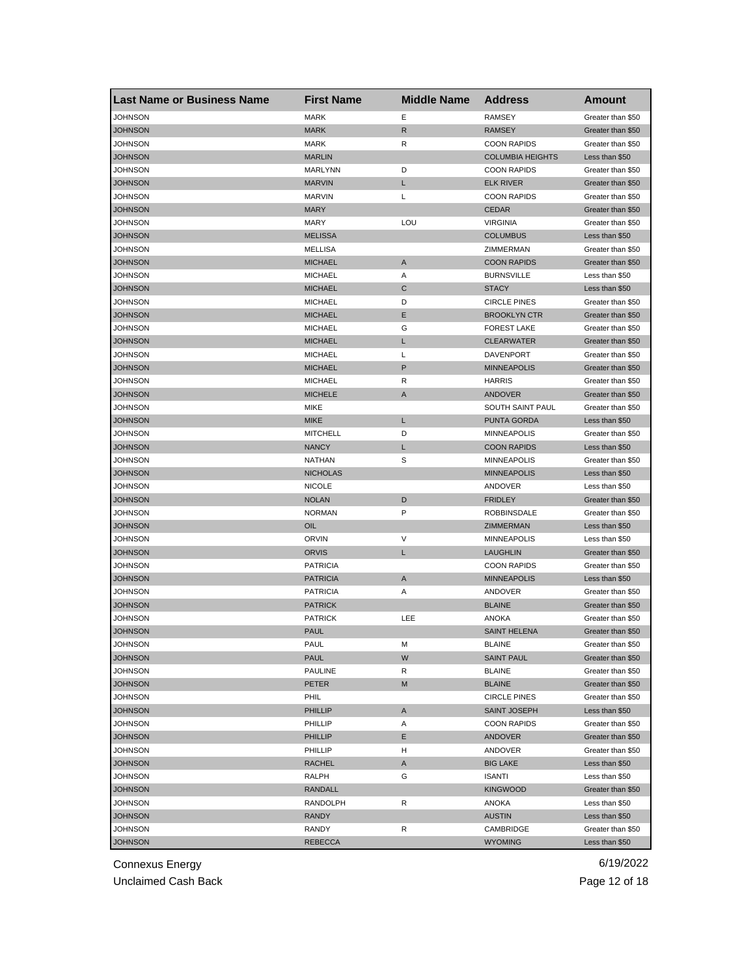| <b>Last Name or Business Name</b> | <b>First Name</b> | <b>Middle Name</b> | <b>Address</b>          | Amount            |
|-----------------------------------|-------------------|--------------------|-------------------------|-------------------|
| JOHNSON                           | <b>MARK</b>       | Ε                  | <b>RAMSEY</b>           | Greater than \$50 |
| <b>JOHNSON</b>                    | <b>MARK</b>       | $\mathsf{R}$       | <b>RAMSEY</b>           | Greater than \$50 |
| JOHNSON                           | <b>MARK</b>       | R                  | <b>COON RAPIDS</b>      | Greater than \$50 |
| <b>JOHNSON</b>                    | <b>MARLIN</b>     |                    | <b>COLUMBIA HEIGHTS</b> | Less than \$50    |
| JOHNSON                           | MARLYNN           | D                  | <b>COON RAPIDS</b>      | Greater than \$50 |
| <b>JOHNSON</b>                    | <b>MARVIN</b>     | L                  | <b>ELK RIVER</b>        | Greater than \$50 |
| JOHNSON                           | <b>MARVIN</b>     | L                  | <b>COON RAPIDS</b>      | Greater than \$50 |
| JOHNSON                           | <b>MARY</b>       |                    | <b>CEDAR</b>            | Greater than \$50 |
| JOHNSON                           | <b>MARY</b>       | LOU                | <b>VIRGINIA</b>         | Greater than \$50 |
| <b>JOHNSON</b>                    | <b>MELISSA</b>    |                    | <b>COLUMBUS</b>         | Less than \$50    |
| JOHNSON                           | MELLISA           |                    | ZIMMERMAN               | Greater than \$50 |
| <b>JOHNSON</b>                    | <b>MICHAEL</b>    | A                  | <b>COON RAPIDS</b>      | Greater than \$50 |
| JOHNSON                           | <b>MICHAEL</b>    | Α                  | <b>BURNSVILLE</b>       | Less than \$50    |
| <b>JOHNSON</b>                    | <b>MICHAEL</b>    | C                  | <b>STACY</b>            | Less than \$50    |
| JOHNSON                           | <b>MICHAEL</b>    | D                  | <b>CIRCLE PINES</b>     | Greater than \$50 |
| JOHNSON                           | <b>MICHAEL</b>    | Е                  | <b>BROOKLYN CTR</b>     | Greater than \$50 |
| JOHNSON                           | <b>MICHAEL</b>    | G                  | <b>FOREST LAKE</b>      | Greater than \$50 |
| <b>JOHNSON</b>                    | <b>MICHAEL</b>    | L                  | <b>CLEARWATER</b>       | Greater than \$50 |
| JOHNSON                           | <b>MICHAEL</b>    | L                  | <b>DAVENPORT</b>        | Greater than \$50 |
| <b>JOHNSON</b>                    | <b>MICHAEL</b>    | $\mathsf{P}$       | <b>MINNEAPOLIS</b>      | Greater than \$50 |
| JOHNSON                           | <b>MICHAEL</b>    | R                  | <b>HARRIS</b>           | Greater than \$50 |
| <b>JOHNSON</b>                    | <b>MICHELE</b>    | A                  | <b>ANDOVER</b>          | Greater than \$50 |
| JOHNSON                           | MIKE              |                    | SOUTH SAINT PAUL        | Greater than \$50 |
| JOHNSON                           | <b>MIKE</b>       | L                  | PUNTA GORDA             | Less than \$50    |
| <b>JOHNSON</b>                    | <b>MITCHELL</b>   | D                  | <b>MINNEAPOLIS</b>      | Greater than \$50 |
| JOHNSON                           | <b>NANCY</b>      | L                  | <b>COON RAPIDS</b>      | Less than \$50    |
| JOHNSON                           | NATHAN            | S                  | <b>MINNEAPOLIS</b>      | Greater than \$50 |
| <b>JOHNSON</b>                    | <b>NICHOLAS</b>   |                    | <b>MINNEAPOLIS</b>      | Less than \$50    |
| JOHNSON                           | <b>NICOLE</b>     |                    | ANDOVER                 | Less than \$50    |
| <b>JOHNSON</b>                    | <b>NOLAN</b>      | D                  | <b>FRIDLEY</b>          | Greater than \$50 |
| JOHNSON                           | <b>NORMAN</b>     | P                  | ROBBINSDALE             | Greater than \$50 |
| <b>JOHNSON</b>                    | OIL               |                    | ZIMMERMAN               | Less than \$50    |
| JOHNSON                           | <b>ORVIN</b>      | V                  | <b>MINNEAPOLIS</b>      | Less than \$50    |
| <b>JOHNSON</b>                    | <b>ORVIS</b>      | L                  | <b>LAUGHLIN</b>         | Greater than \$50 |
| JOHNSON                           | <b>PATRICIA</b>   |                    | <b>COON RAPIDS</b>      | Greater than \$50 |
| <b>JOHNSON</b>                    | <b>PATRICIA</b>   | A                  | <b>MINNEAPOLIS</b>      | Less than \$50    |
| <b>JOHNSON</b>                    | <b>PATRICIA</b>   | Α                  | ANDOVER                 | Greater than \$50 |
| <b>JOHNSON</b>                    | <b>PATRICK</b>    |                    | <b>BLAINE</b>           | Greater than \$50 |
| JOHNSON                           | <b>PATRICK</b>    | LEE                | <b>ANOKA</b>            | Greater than \$50 |
| <b>JOHNSON</b>                    | <b>PAUL</b>       |                    | <b>SAINT HELENA</b>     | Greater than \$50 |
| <b>JOHNSON</b>                    | PAUL              | м                  | <b>BLAINE</b>           | Greater than \$50 |
| <b>JOHNSON</b>                    | <b>PAUL</b>       | W                  | <b>SAINT PAUL</b>       | Greater than \$50 |
| <b>JOHNSON</b>                    | <b>PAULINE</b>    | R                  | <b>BLAINE</b>           | Greater than \$50 |
| <b>JOHNSON</b>                    | PETER             | M                  | <b>BLAINE</b>           | Greater than \$50 |
| <b>JOHNSON</b>                    | PHIL              |                    | <b>CIRCLE PINES</b>     | Greater than \$50 |
| <b>JOHNSON</b>                    | <b>PHILLIP</b>    | $\mathsf{A}$       | SAINT JOSEPH            | Less than \$50    |
| <b>JOHNSON</b>                    | PHILLIP           | Α                  | <b>COON RAPIDS</b>      | Greater than \$50 |
| <b>JOHNSON</b>                    | <b>PHILLIP</b>    | Е                  | <b>ANDOVER</b>          | Greater than \$50 |
| JOHNSON                           | PHILLIP           | H                  | ANDOVER                 | Greater than \$50 |
| <b>JOHNSON</b>                    | RACHEL            | Α                  | <b>BIG LAKE</b>         | Less than \$50    |
| JOHNSON                           | RALPH             | G                  | <b>ISANTI</b>           | Less than \$50    |
| <b>JOHNSON</b>                    | RANDALL           |                    | <b>KINGWOOD</b>         | Greater than \$50 |
| JOHNSON                           | RANDOLPH          | R                  | ANOKA                   | Less than \$50    |
| JOHNSON                           | RANDY             |                    | <b>AUSTIN</b>           | Less than \$50    |
| JOHNSON                           | RANDY             | R                  | CAMBRIDGE               | Greater than \$50 |
| <b>JOHNSON</b>                    | <b>REBECCA</b>    |                    | <b>WYOMING</b>          | Less than \$50    |

Unclaimed Cash Back **Page 12 of 18**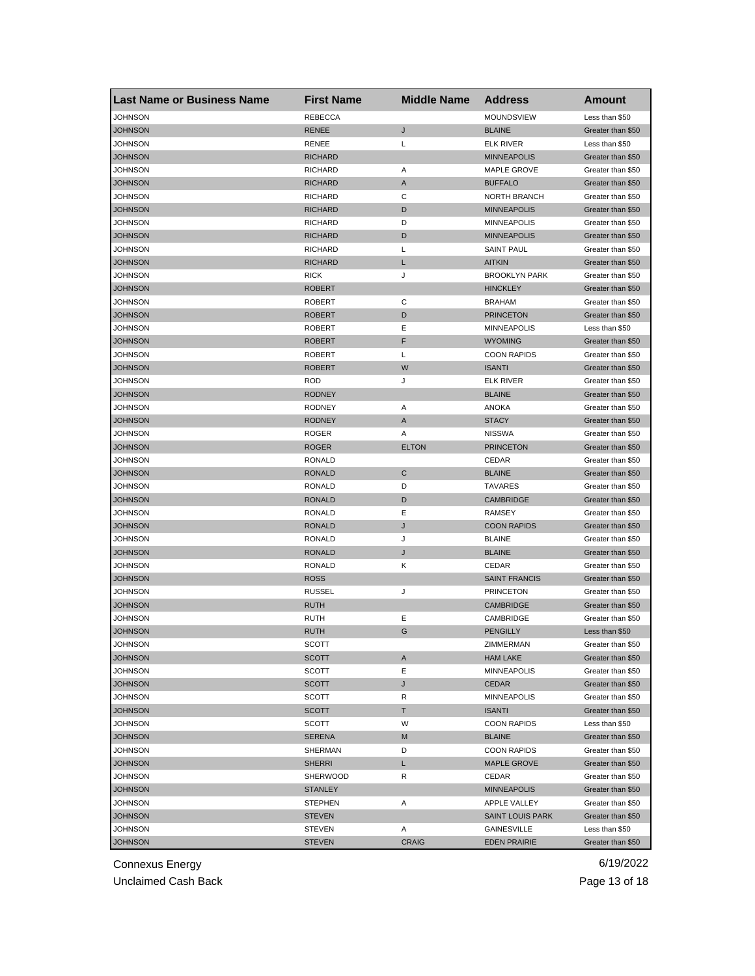| <b>Last Name or Business Name</b> | <b>First Name</b> | <b>Middle Name</b> | <b>Address</b>          | Amount            |
|-----------------------------------|-------------------|--------------------|-------------------------|-------------------|
| JOHNSON                           | <b>REBECCA</b>    |                    | MOUNDSVIEW              | Less than \$50    |
| <b>JOHNSON</b>                    | <b>RENEE</b>      | J                  | <b>BLAINE</b>           | Greater than \$50 |
| JOHNSON                           | RENEE             | L                  | <b>ELK RIVER</b>        | Less than \$50    |
| <b>JOHNSON</b>                    | <b>RICHARD</b>    |                    | <b>MINNEAPOLIS</b>      | Greater than \$50 |
| JOHNSON                           | <b>RICHARD</b>    | Α                  | MAPLE GROVE             | Greater than \$50 |
| <b>JOHNSON</b>                    | <b>RICHARD</b>    | A                  | <b>BUFFALO</b>          | Greater than \$50 |
| JOHNSON                           | <b>RICHARD</b>    | C                  | NORTH BRANCH            | Greater than \$50 |
| JOHNSON                           | <b>RICHARD</b>    | D                  | <b>MINNEAPOLIS</b>      | Greater than \$50 |
| JOHNSON                           | <b>RICHARD</b>    | D                  | <b>MINNEAPOLIS</b>      | Greater than \$50 |
| <b>JOHNSON</b>                    | <b>RICHARD</b>    | D                  | <b>MINNEAPOLIS</b>      | Greater than \$50 |
| <b>JOHNSON</b>                    | <b>RICHARD</b>    | L                  | <b>SAINT PAUL</b>       | Greater than \$50 |
| <b>JOHNSON</b>                    | <b>RICHARD</b>    | L                  | <b>AITKIN</b>           | Greater than \$50 |
| JOHNSON                           | <b>RICK</b>       | J                  | <b>BROOKLYN PARK</b>    | Greater than \$50 |
| <b>JOHNSON</b>                    | <b>ROBERT</b>     |                    | <b>HINCKLEY</b>         | Greater than \$50 |
| JOHNSON                           | <b>ROBERT</b>     | C                  | <b>BRAHAM</b>           | Greater than \$50 |
| JOHNSON                           | <b>ROBERT</b>     | D                  | <b>PRINCETON</b>        | Greater than \$50 |
| JOHNSON                           | <b>ROBERT</b>     | Ε                  | <b>MINNEAPOLIS</b>      | Less than \$50    |
| <b>JOHNSON</b>                    | <b>ROBERT</b>     | F                  | <b>WYOMING</b>          | Greater than \$50 |
| JOHNSON                           | <b>ROBERT</b>     | L                  | <b>COON RAPIDS</b>      | Greater than \$50 |
| <b>JOHNSON</b>                    | <b>ROBERT</b>     | W                  | <b>ISANTI</b>           | Greater than \$50 |
| <b>JOHNSON</b>                    | <b>ROD</b>        | J                  | <b>ELK RIVER</b>        | Greater than \$50 |
| <b>JOHNSON</b>                    | <b>RODNEY</b>     |                    | <b>BLAINE</b>           | Greater than \$50 |
| JOHNSON                           | <b>RODNEY</b>     | Α                  | ANOKA                   | Greater than \$50 |
| JOHNSON                           | <b>RODNEY</b>     | A                  | <b>STACY</b>            | Greater than \$50 |
| JOHNSON                           | <b>ROGER</b>      | Α                  | <b>NISSWA</b>           | Greater than \$50 |
| JOHNSON                           | <b>ROGER</b>      | <b>ELTON</b>       | <b>PRINCETON</b>        | Greater than \$50 |
| JOHNSON                           | RONALD            |                    | CEDAR                   | Greater than \$50 |
| <b>JOHNSON</b>                    | <b>RONALD</b>     | C                  | <b>BLAINE</b>           | Greater than \$50 |
| JOHNSON                           | <b>RONALD</b>     | D                  | <b>TAVARES</b>          | Greater than \$50 |
| <b>JOHNSON</b>                    | <b>RONALD</b>     | D                  | CAMBRIDGE               | Greater than \$50 |
| JOHNSON                           | <b>RONALD</b>     | Ε                  | <b>RAMSEY</b>           | Greater than \$50 |
| <b>JOHNSON</b>                    | <b>RONALD</b>     | J                  | <b>COON RAPIDS</b>      | Greater than \$50 |
| JOHNSON                           | RONALD            | J                  | <b>BLAINE</b>           | Greater than \$50 |
| <b>JOHNSON</b>                    | <b>RONALD</b>     | J                  | <b>BLAINE</b>           | Greater than \$50 |
| JOHNSON                           | <b>RONALD</b>     | Κ                  | CEDAR                   | Greater than \$50 |
| <b>JOHNSON</b>                    | <b>ROSS</b>       |                    | <b>SAINT FRANCIS</b>    | Greater than \$50 |
| JOHNSON                           | <b>RUSSEL</b>     | J                  | <b>PRINCETON</b>        | Greater than \$50 |
| <b>JOHNSON</b>                    | <b>RUTH</b>       |                    | <b>CAMBRIDGE</b>        | Greater than \$50 |
| JOHNSON                           | RUTH              | Ε                  | CAMBRIDGE               | Greater than \$50 |
| JOHNSON                           | <b>RUTH</b>       | G                  | <b>PENGILLY</b>         | Less than \$50    |
| <b>JOHNSON</b>                    | SCOTT             |                    | ZIMMERMAN               | Greater than \$50 |
| <b>JOHNSON</b>                    | SCOTT             | A                  | <b>HAM LAKE</b>         | Greater than \$50 |
| <b>JOHNSON</b>                    | SCOTT             | Е                  | MINNEAPOLIS             | Greater than \$50 |
| <b>JOHNSON</b>                    | SCOTT             | J                  | CEDAR                   | Greater than \$50 |
| <b>JOHNSON</b>                    | SCOTT             | R                  | <b>MINNEAPOLIS</b>      | Greater than \$50 |
| <b>JOHNSON</b>                    | SCOTT             | T                  | <b>ISANTI</b>           | Greater than \$50 |
| <b>JOHNSON</b>                    | SCOTT             | W                  | <b>COON RAPIDS</b>      | Less than \$50    |
| <b>JOHNSON</b>                    | <b>SERENA</b>     | M                  | <b>BLAINE</b>           | Greater than \$50 |
| JOHNSON                           | SHERMAN           | D                  | <b>COON RAPIDS</b>      | Greater than \$50 |
| <b>JOHNSON</b>                    | <b>SHERRI</b>     | L                  | <b>MAPLE GROVE</b>      | Greater than \$50 |
| JOHNSON                           | SHERWOOD          | R                  | CEDAR                   | Greater than \$50 |
|                                   |                   |                    |                         | Greater than \$50 |
| <b>JOHNSON</b>                    | <b>STANLEY</b>    |                    | <b>MINNEAPOLIS</b>      |                   |
| JOHNSON                           | <b>STEPHEN</b>    | Α                  | APPLE VALLEY            | Greater than \$50 |
| JOHNSON                           | <b>STEVEN</b>     |                    | <b>SAINT LOUIS PARK</b> | Greater than \$50 |
| JOHNSON                           | STEVEN            | Α                  | GAINESVILLE             | Less than \$50    |
| <b>JOHNSON</b>                    | <b>STEVEN</b>     | <b>CRAIG</b>       | <b>EDEN PRAIRIE</b>     | Greater than \$50 |

Unclaimed Cash Back **Page 13 of 18**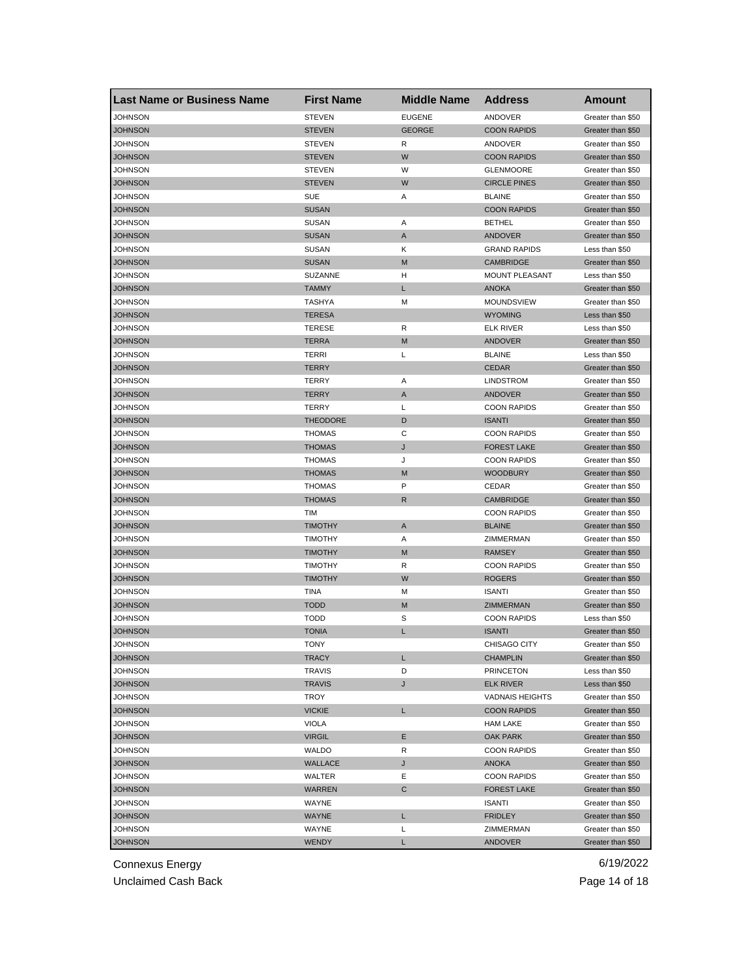| <b>Last Name or Business Name</b> | <b>First Name</b> | <b>Middle Name</b> | <b>Address</b>                      | <b>Amount</b>     |
|-----------------------------------|-------------------|--------------------|-------------------------------------|-------------------|
| <b>JOHNSON</b>                    | <b>STEVEN</b>     | <b>EUGENE</b>      | ANDOVER                             | Greater than \$50 |
| <b>JOHNSON</b>                    | <b>STEVEN</b>     | <b>GEORGE</b>      | <b>COON RAPIDS</b>                  | Greater than \$50 |
| JOHNSON                           | <b>STEVEN</b>     | R                  | ANDOVER                             | Greater than \$50 |
| <b>JOHNSON</b>                    | <b>STEVEN</b>     | W                  | <b>COON RAPIDS</b>                  | Greater than \$50 |
| <b>JOHNSON</b>                    | <b>STEVEN</b>     | W                  | <b>GLENMOORE</b>                    | Greater than \$50 |
| <b>JOHNSON</b>                    | <b>STEVEN</b>     | W                  | <b>CIRCLE PINES</b>                 | Greater than \$50 |
| JOHNSON                           | <b>SUE</b>        | Α                  | <b>BLAINE</b>                       | Greater than \$50 |
| JOHNSON                           | <b>SUSAN</b>      |                    | <b>COON RAPIDS</b>                  | Greater than \$50 |
| JOHNSON                           | <b>SUSAN</b>      | Α                  | <b>BETHEL</b>                       | Greater than \$50 |
| JOHNSON                           | <b>SUSAN</b>      | A                  | ANDOVER                             | Greater than \$50 |
| <b>JOHNSON</b>                    | <b>SUSAN</b>      | Κ                  | <b>GRAND RAPIDS</b>                 | Less than \$50    |
| <b>JOHNSON</b>                    | <b>SUSAN</b>      | M                  | <b>CAMBRIDGE</b>                    | Greater than \$50 |
| JOHNSON                           | <b>SUZANNE</b>    | н                  | MOUNT PLEASANT                      | Less than \$50    |
| <b>JOHNSON</b>                    | <b>TAMMY</b>      | L                  | <b>ANOKA</b>                        | Greater than \$50 |
| JOHNSON                           | TASHYA            | M                  | <b>MOUNDSVIEW</b>                   | Greater than \$50 |
| JOHNSON                           | <b>TERESA</b>     |                    | <b>WYOMING</b>                      | Less than \$50    |
| JOHNSON                           | <b>TERESE</b>     | R                  | <b>ELK RIVER</b>                    | Less than \$50    |
| JOHNSON                           | <b>TERRA</b>      | M                  | ANDOVER                             | Greater than \$50 |
| JOHNSON                           | TERRI             | L                  | <b>BLAINE</b>                       | Less than \$50    |
| <b>JOHNSON</b>                    | <b>TERRY</b>      |                    | <b>CEDAR</b>                        | Greater than \$50 |
| JOHNSON                           | TERRY             | Α                  | <b>LINDSTROM</b>                    | Greater than \$50 |
| <b>JOHNSON</b>                    | <b>TERRY</b>      | A                  | <b>ANDOVER</b>                      | Greater than \$50 |
| JOHNSON                           | TERRY             | L                  | <b>COON RAPIDS</b>                  | Greater than \$50 |
| <b>JOHNSON</b>                    | <b>THEODORE</b>   | D                  | <b>ISANTI</b>                       | Greater than \$50 |
| JOHNSON                           | <b>THOMAS</b>     | C                  | <b>COON RAPIDS</b>                  | Greater than \$50 |
| JOHNSON                           | <b>THOMAS</b>     | J                  | <b>FOREST LAKE</b>                  | Greater than \$50 |
| JOHNSON                           | THOMAS            | J                  | <b>COON RAPIDS</b>                  | Greater than \$50 |
| <b>JOHNSON</b>                    | <b>THOMAS</b>     | M                  | <b>WOODBURY</b>                     | Greater than \$50 |
| JOHNSON                           | THOMAS            | P                  | CEDAR                               | Greater than \$50 |
| <b>JOHNSON</b>                    | <b>THOMAS</b>     | $\mathsf{R}$       | <b>CAMBRIDGE</b>                    | Greater than \$50 |
| JOHNSON                           | <b>TIM</b>        |                    | <b>COON RAPIDS</b>                  | Greater than \$50 |
| <b>JOHNSON</b>                    | <b>TIMOTHY</b>    | A                  | <b>BLAINE</b>                       | Greater than \$50 |
| JOHNSON                           | TIMOTHY           | Α                  | ZIMMERMAN                           | Greater than \$50 |
| JOHNSON                           | <b>TIMOTHY</b>    | M                  | <b>RAMSEY</b>                       | Greater than \$50 |
| JOHNSON                           | TIMOTHY           | R                  | <b>COON RAPIDS</b>                  | Greater than \$50 |
| JOHNSON                           | <b>TIMOTHY</b>    | W                  | <b>ROGERS</b>                       | Greater than \$50 |
| JOHNSON                           | TINA              | м                  | <b>ISANTI</b>                       | Greater than \$50 |
| <b>JOHNSON</b>                    | <b>TODD</b>       | M                  | ZIMMERMAN                           | Greater than \$50 |
| <b>JOHNSON</b>                    | <b>TODD</b>       | S                  | <b>COON RAPIDS</b>                  | Less than \$50    |
| JOHNSON                           | <b>TONIA</b>      | L                  | <b>ISANTI</b>                       | Greater than \$50 |
| JOHNSON                           | <b>IONY</b>       |                    | CHISAGO CITY                        | Greater than \$50 |
| <b>JOHNSON</b>                    | <b>TRACY</b>      | L                  | <b>CHAMPLIN</b>                     | Greater than \$50 |
| <b>JOHNSON</b>                    | TRAVIS            | D                  | <b>PRINCETON</b>                    | Less than \$50    |
| <b>JOHNSON</b>                    | <b>TRAVIS</b>     | J                  | <b>ELK RIVER</b>                    | Less than \$50    |
| JOHNSON                           | TROY              |                    | <b>VADNAIS HEIGHTS</b>              | Greater than \$50 |
| <b>JOHNSON</b>                    | <b>VICKIE</b>     | L                  | <b>COON RAPIDS</b>                  | Greater than \$50 |
| <b>JOHNSON</b>                    | VIOLA             |                    | <b>HAM LAKE</b>                     | Greater than \$50 |
| <b>JOHNSON</b>                    | <b>VIRGIL</b>     | Е                  | <b>OAK PARK</b>                     | Greater than \$50 |
| JOHNSON                           | WALDO             | R                  | <b>COON RAPIDS</b>                  | Greater than \$50 |
| <b>JOHNSON</b>                    | WALLACE           | J                  | ANOKA                               | Greater than \$50 |
| JOHNSON                           | WALTER            | Ε                  | <b>COON RAPIDS</b>                  | Greater than \$50 |
|                                   | <b>WARREN</b>     |                    |                                     | Greater than \$50 |
| <b>JOHNSON</b>                    | WAYNE             | С                  | <b>FOREST LAKE</b><br><b>ISANTI</b> |                   |
| JOHNSON                           |                   |                    |                                     | Greater than \$50 |
| <b>JOHNSON</b>                    | WAYNE             | L                  | <b>FRIDLEY</b>                      | Greater than \$50 |
| JOHNSON                           | WAYNE             | Г                  | ZIMMERMAN                           | Greater than \$50 |
| <b>JOHNSON</b>                    | <b>WENDY</b>      | L                  | <b>ANDOVER</b>                      | Greater than \$50 |

Unclaimed Cash Back **Page 14 of 18**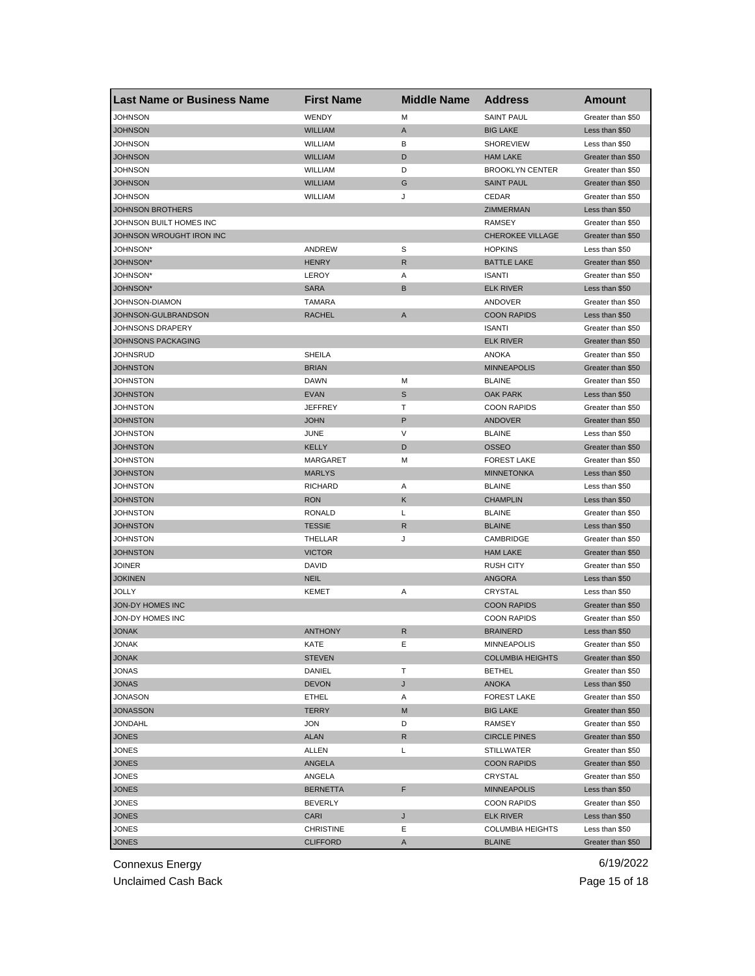| <b>Last Name or Business Name</b> | <b>First Name</b> | <b>Middle Name</b> | <b>Address</b>          | <b>Amount</b>                       |
|-----------------------------------|-------------------|--------------------|-------------------------|-------------------------------------|
| <b>JOHNSON</b>                    | WENDY             | M                  | <b>SAINT PAUL</b>       | Greater than \$50                   |
| <b>JOHNSON</b>                    | <b>WILLIAM</b>    | A                  | <b>BIG LAKE</b>         | Less than \$50                      |
| JOHNSON                           | WILLIAM           | в                  | <b>SHOREVIEW</b>        | Less than \$50                      |
| <b>JOHNSON</b>                    | <b>WILLIAM</b>    | D                  | <b>HAM LAKE</b>         | Greater than \$50                   |
| JOHNSON                           | WILLIAM           | D                  | <b>BROOKLYN CENTER</b>  | Greater than \$50                   |
| <b>JOHNSON</b>                    | <b>WILLIAM</b>    | G                  | <b>SAINT PAUL</b>       | Greater than \$50                   |
| JOHNSON                           | WILLIAM           | J                  | CEDAR                   | Greater than \$50                   |
| <b>JOHNSON BROTHERS</b>           |                   |                    | ZIMMERMAN               | Less than \$50                      |
| JOHNSON BUILT HOMES INC           |                   |                    | <b>RAMSEY</b>           | Greater than \$50                   |
| JOHNSON WROUGHT IRON INC          |                   |                    | <b>CHEROKEE VILLAGE</b> | Greater than \$50                   |
| JOHNSON*                          | ANDREW            | S                  | <b>HOPKINS</b>          | Less than \$50                      |
| <b>JOHNSON*</b>                   | <b>HENRY</b>      | R                  | <b>BATTLE LAKE</b>      | Greater than \$50                   |
| JOHNSON*                          | LEROY             | Α                  | <b>ISANTI</b>           | Greater than \$50                   |
| <b>JOHNSON*</b>                   | <b>SARA</b>       | B                  | <b>ELK RIVER</b>        | Less than \$50                      |
| JOHNSON-DIAMON                    | <b>TAMARA</b>     |                    | ANDOVER                 | Greater than \$50                   |
| JOHNSON-GULBRANDSON               | <b>RACHEL</b>     | A                  | <b>COON RAPIDS</b>      | Less than \$50                      |
| JOHNSONS DRAPERY                  |                   |                    | <b>ISANTI</b>           | Greater than \$50                   |
| <b>JOHNSONS PACKAGING</b>         |                   |                    | <b>ELK RIVER</b>        | Greater than \$50                   |
| JOHNSRUD                          | <b>SHEILA</b>     |                    | ANOKA                   | Greater than \$50                   |
| JOHNSTON                          | <b>BRIAN</b>      |                    | <b>MINNEAPOLIS</b>      | Greater than \$50                   |
| JOHNSTON                          | DAWN              | М                  | <b>BLAINE</b>           | Greater than \$50                   |
| <b>JOHNSTON</b>                   | <b>EVAN</b>       | S                  | <b>OAK PARK</b>         | Less than \$50                      |
| JOHNSTON                          | <b>JEFFREY</b>    | т                  | <b>COON RAPIDS</b>      | Greater than \$50                   |
| <b>JOHNSTON</b>                   | <b>JOHN</b>       | P                  | ANDOVER                 | Greater than \$50                   |
| JOHNSTON                          | JUNE              | V                  | <b>BLAINE</b>           | Less than \$50                      |
| <b>JOHNSTON</b>                   | <b>KELLY</b>      | D                  | <b>OSSEO</b>            | Greater than \$50                   |
| JOHNSTON                          | MARGARET          | М                  | <b>FOREST LAKE</b>      | Greater than \$50                   |
| <b>JOHNSTON</b>                   | <b>MARLYS</b>     |                    | <b>MINNETONKA</b>       | Less than \$50                      |
| JOHNSTON                          | <b>RICHARD</b>    | Α                  | <b>BLAINE</b>           | Less than \$50                      |
| <b>JOHNSTON</b>                   | <b>RON</b>        | Κ                  | <b>CHAMPLIN</b>         | Less than \$50                      |
| JOHNSTON                          | <b>RONALD</b>     | L                  | <b>BLAINE</b>           |                                     |
| <b>JOHNSTON</b>                   | <b>TESSIE</b>     | R                  | <b>BLAINE</b>           | Greater than \$50<br>Less than \$50 |
|                                   |                   |                    |                         |                                     |
| JOHNSTON                          | THELLAR           | J                  | CAMBRIDGE               | Greater than \$50                   |
| JOHNSTON                          | <b>VICTOR</b>     |                    | <b>HAM LAKE</b>         | Greater than \$50                   |
| JOINER                            | DAVID             |                    | <b>RUSH CITY</b>        | Greater than \$50                   |
| <b>JOKINEN</b>                    | <b>NEIL</b>       |                    | <b>ANGORA</b>           | Less than \$50                      |
| JOLLY                             | <b>KEMET</b>      | Α                  | CRYSTAL                 | Less than \$50                      |
| JON-DY HOMES INC                  |                   |                    | <b>COON RAPIDS</b>      | Greater than \$50                   |
| JON-DY HOMES INC                  |                   |                    | <b>COON RAPIDS</b>      | Greater than \$50                   |
| <b>JONAK</b>                      | <b>ANTHONY</b>    | R                  | <b>BRAINERD</b>         | Less than \$50                      |
| JONAK                             | KAIE              | E                  | MINNEAPOLIS             | Greater than \$50                   |
| <b>JONAK</b>                      | <b>STEVEN</b>     |                    | <b>COLUMBIA HEIGHTS</b> | Greater than \$50                   |
| <b>JONAS</b>                      | DANIEL            | т                  | <b>BETHEL</b>           | Greater than \$50                   |
| <b>JONAS</b>                      | DEVON             | J                  | ANOKA                   | Less than \$50                      |
| JONASON                           | ETHEL             | Α                  | <b>FOREST LAKE</b>      | Greater than \$50                   |
| <b>JONASSON</b>                   | <b>TERRY</b>      | M                  | <b>BIG LAKE</b>         | Greater than \$50                   |
| <b>JONDAHL</b>                    | <b>JON</b>        | D                  | RAMSEY                  | Greater than \$50                   |
| <b>JONES</b>                      | <b>ALAN</b>       | $\mathsf R$        | <b>CIRCLE PINES</b>     | Greater than \$50                   |
| <b>JONES</b>                      | ALLEN             | L                  | <b>STILLWATER</b>       | Greater than \$50                   |
| <b>JONES</b>                      | ANGELA            |                    | <b>COON RAPIDS</b>      | Greater than \$50                   |
| <b>JONES</b>                      | ANGELA            |                    | CRYSTAL                 | Greater than \$50                   |
| <b>JONES</b>                      | <b>BERNETTA</b>   | F                  | <b>MINNEAPOLIS</b>      | Less than \$50                      |
| JONES                             | <b>BEVERLY</b>    |                    | <b>COON RAPIDS</b>      | Greater than \$50                   |
| JONES                             | CARI              | J                  | <b>ELK RIVER</b>        | Less than \$50                      |
| JONES                             | <b>CHRISTINE</b>  | Ε                  | <b>COLUMBIA HEIGHTS</b> | Less than \$50                      |
| <b>JONES</b>                      | <b>CLIFFORD</b>   | Α                  | <b>BLAINE</b>           | Greater than \$50                   |

Unclaimed Cash Back **Page 15 of 18**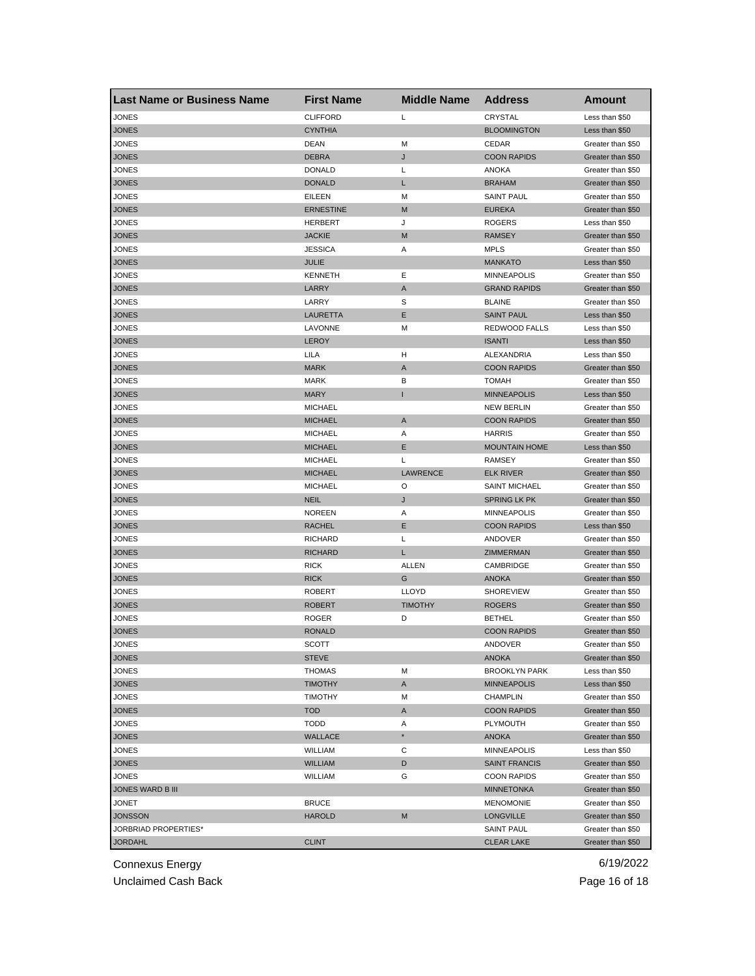| <b>Last Name or Business Name</b> | <b>First Name</b> | <b>Middle Name</b> | <b>Address</b>       | Amount            |
|-----------------------------------|-------------------|--------------------|----------------------|-------------------|
| JONES                             | <b>CLIFFORD</b>   | Г                  | CRYSTAL              | Less than \$50    |
| JONES                             | <b>CYNTHIA</b>    |                    | <b>BLOOMINGTON</b>   | Less than \$50    |
| JONES                             | <b>DEAN</b>       | M                  | CEDAR                | Greater than \$50 |
| JONES                             | <b>DEBRA</b>      | J                  | <b>COON RAPIDS</b>   | Greater than \$50 |
| JONES                             | <b>DONALD</b>     | Г                  | ANOKA                | Greater than \$50 |
| JONES                             | <b>DONALD</b>     | L                  | <b>BRAHAM</b>        | Greater than \$50 |
| JONES                             | <b>EILEEN</b>     | M                  | <b>SAINT PAUL</b>    | Greater than \$50 |
| JONES                             | <b>ERNESTINE</b>  | M                  | <b>EUREKA</b>        | Greater than \$50 |
| JONES                             | <b>HERBERT</b>    | J                  | <b>ROGERS</b>        | Less than \$50    |
| <b>JONES</b>                      | <b>JACKIE</b>     | M                  | <b>RAMSEY</b>        | Greater than \$50 |
| JONES                             | <b>JESSICA</b>    | Α                  | <b>MPLS</b>          | Greater than \$50 |
| JONES                             | <b>JULIE</b>      |                    | <b>MANKATO</b>       | Less than \$50    |
| JONES                             | <b>KENNETH</b>    | Ε                  | <b>MINNEAPOLIS</b>   | Greater than \$50 |
| <b>JONES</b>                      | LARRY             | A                  | <b>GRAND RAPIDS</b>  | Greater than \$50 |
| JONES                             | LARRY             | S                  | <b>BLAINE</b>        | Greater than \$50 |
| JONES                             | LAURETTA          | Ε                  | <b>SAINT PAUL</b>    | Less than \$50    |
| JONES                             | LAVONNE           | М                  | REDWOOD FALLS        | Less than \$50    |
| JONES                             | <b>LEROY</b>      |                    | <b>ISANTI</b>        | Less than \$50    |
| JONES                             | LILA              | н                  | ALEXANDRIA           | Less than \$50    |
| JONES                             | <b>MARK</b>       | Α                  | <b>COON RAPIDS</b>   | Greater than \$50 |
| JONES                             | <b>MARK</b>       | В                  | TOMAH                | Greater than \$50 |
| <b>JONES</b>                      | <b>MARY</b>       | п                  | <b>MINNEAPOLIS</b>   | Less than \$50    |
| JONES                             | <b>MICHAEL</b>    |                    | <b>NEW BERLIN</b>    | Greater than \$50 |
| JONES                             | <b>MICHAEL</b>    | Α                  | <b>COON RAPIDS</b>   | Greater than \$50 |
| JONES                             | <b>MICHAEL</b>    | Α                  | <b>HARRIS</b>        | Greater than \$50 |
| JONES                             | <b>MICHAEL</b>    | Ε                  | <b>MOUNTAIN HOME</b> | Less than \$50    |
| JONES                             | <b>MICHAEL</b>    | L                  | <b>RAMSEY</b>        | Greater than \$50 |
| <b>JONES</b>                      | <b>MICHAEL</b>    | <b>LAWRENCE</b>    | <b>ELK RIVER</b>     | Greater than \$50 |
| JONES                             | <b>MICHAEL</b>    | O                  | <b>SAINT MICHAEL</b> | Greater than \$50 |
| JONES                             | <b>NEIL</b>       | J                  | <b>SPRING LK PK</b>  | Greater than \$50 |
| JONES                             | <b>NOREEN</b>     | Α                  | <b>MINNEAPOLIS</b>   | Greater than \$50 |
| JONES                             | <b>RACHEL</b>     | Ε                  | <b>COON RAPIDS</b>   | Less than \$50    |
| JONES                             | <b>RICHARD</b>    | L                  | ANDOVER              | Greater than \$50 |
| JONES                             | <b>RICHARD</b>    | L                  | ZIMMERMAN            | Greater than \$50 |
| JONES                             | <b>RICK</b>       | <b>ALLEN</b>       | CAMBRIDGE            | Greater than \$50 |
| JONES                             | <b>RICK</b>       | G                  | <b>ANOKA</b>         | Greater than \$50 |
| JONES                             | <b>ROBERT</b>     | <b>LLOYD</b>       | <b>SHOREVIEW</b>     | Greater than \$50 |
| JONES                             | <b>ROBERT</b>     | <b>TIMOTHY</b>     | <b>ROGERS</b>        | Greater than \$50 |
| JONES                             | <b>ROGER</b>      | D                  | <b>BETHEL</b>        | Greater than \$50 |
| <b>JONES</b>                      | <b>RONALD</b>     |                    | <b>COON RAPIDS</b>   | Greater than \$50 |
| <b>JONES</b>                      | SCOTT             |                    | ANDOVER              | Greater than \$50 |
| <b>JONES</b>                      | <b>STEVE</b>      |                    | <b>ANOKA</b>         | Greater than \$50 |
| JONES                             | <b>THOMAS</b>     | М                  | <b>BROOKLYN PARK</b> | Less than \$50    |
| <b>JONES</b>                      | <b>TIMOTHY</b>    | A                  | <b>MINNEAPOLIS</b>   | Less than \$50    |
| JONES                             | <b>TIMOTHY</b>    | М                  | <b>CHAMPLIN</b>      | Greater than \$50 |
| <b>JONES</b>                      | <b>TOD</b>        | Α                  | <b>COON RAPIDS</b>   | Greater than \$50 |
| JONES                             | <b>TODD</b>       | Α                  | PLYMOUTH             | Greater than \$50 |
| <b>JONES</b>                      | <b>WALLACE</b>    | $^\star$           | <b>ANOKA</b>         | Greater than \$50 |
| JONES                             | <b>WILLIAM</b>    | С                  | <b>MINNEAPOLIS</b>   | Less than \$50    |
| <b>JONES</b>                      | <b>WILLIAM</b>    | D                  | <b>SAINT FRANCIS</b> | Greater than \$50 |
|                                   |                   |                    |                      |                   |
| JONES                             | <b>WILLIAM</b>    | G                  | <b>COON RAPIDS</b>   | Greater than \$50 |
| JONES WARD B III                  |                   |                    | <b>MINNETONKA</b>    | Greater than \$50 |
| JONET                             | <b>BRUCE</b>      |                    | <b>MENOMONIE</b>     | Greater than \$50 |
| <b>JONSSON</b>                    | <b>HAROLD</b>     | M                  | <b>LONGVILLE</b>     | Greater than \$50 |
| JORBRIAD PROPERTIES*              |                   |                    | <b>SAINT PAUL</b>    | Greater than \$50 |
| <b>JORDAHL</b>                    | <b>CLINT</b>      |                    | <b>CLEAR LAKE</b>    | Greater than \$50 |

Unclaimed Cash Back **Page 16 of 18**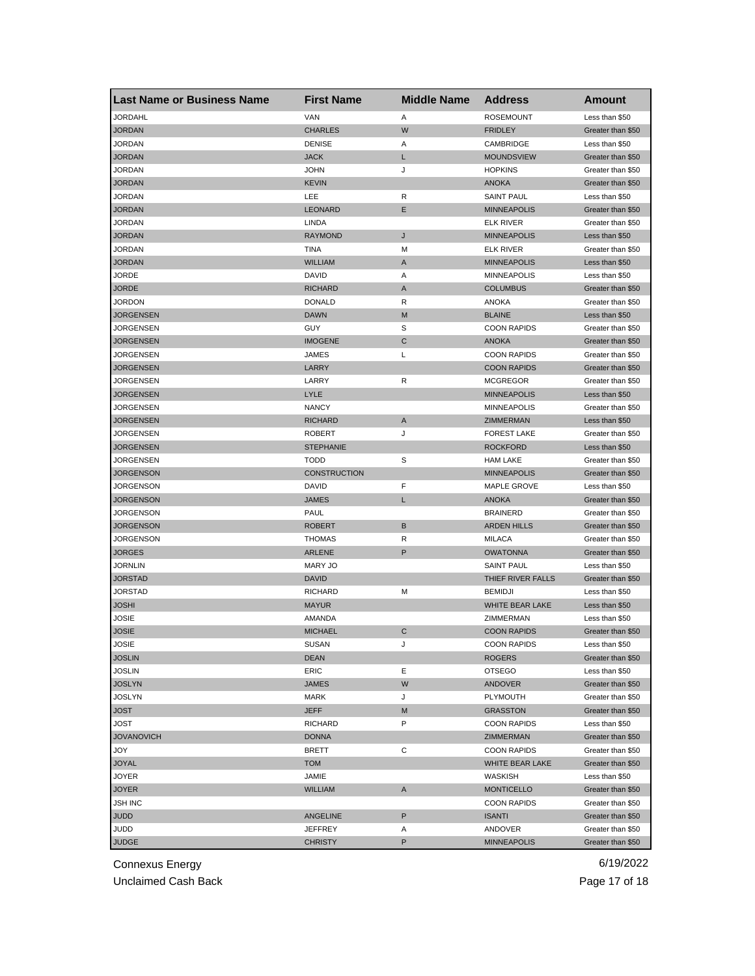| <b>Last Name or Business Name</b> | <b>First Name</b>   | <b>Middle Name</b> | <b>Address</b>     | Amount            |
|-----------------------------------|---------------------|--------------------|--------------------|-------------------|
| <b>JORDAHL</b>                    | VAN                 | Α                  | <b>ROSEMOUNT</b>   | Less than \$50    |
| <b>JORDAN</b>                     | <b>CHARLES</b>      | W                  | <b>FRIDLEY</b>     | Greater than \$50 |
| JORDAN                            | <b>DENISE</b>       | Α                  | CAMBRIDGE          | Less than \$50    |
| <b>JORDAN</b>                     | <b>JACK</b>         | L                  | <b>MOUNDSVIEW</b>  | Greater than \$50 |
| JORDAN                            | <b>JOHN</b>         | J                  | <b>HOPKINS</b>     | Greater than \$50 |
| <b>JORDAN</b>                     | <b>KEVIN</b>        |                    | <b>ANOKA</b>       | Greater than \$50 |
| JORDAN                            | LEE                 | R                  | <b>SAINT PAUL</b>  | Less than \$50    |
| JORDAN                            | <b>LEONARD</b>      | Ε                  | <b>MINNEAPOLIS</b> | Greater than \$50 |
| <b>JORDAN</b>                     | <b>LINDA</b>        |                    | <b>ELK RIVER</b>   | Greater than \$50 |
| <b>JORDAN</b>                     | <b>RAYMOND</b>      | J                  | <b>MINNEAPOLIS</b> | Less than \$50    |
| JORDAN                            | TINA                | М                  | <b>ELK RIVER</b>   | Greater than \$50 |
| <b>JORDAN</b>                     | <b>WILLIAM</b>      | A                  | <b>MINNEAPOLIS</b> | Less than \$50    |
| JORDE                             | <b>DAVID</b>        | Α                  | <b>MINNEAPOLIS</b> | Less than \$50    |
| <b>JORDE</b>                      | <b>RICHARD</b>      | A                  | <b>COLUMBUS</b>    | Greater than \$50 |
| JORDON                            | <b>DONALD</b>       | R                  | <b>ANOKA</b>       | Greater than \$50 |
| <b>JORGENSEN</b>                  | <b>DAWN</b>         | M                  | <b>BLAINE</b>      | Less than \$50    |
| JORGENSEN                         | GUY                 | S                  | <b>COON RAPIDS</b> | Greater than \$50 |
| <b>JORGENSEN</b>                  | <b>IMOGENE</b>      | ${\bf C}$          | <b>ANOKA</b>       | Greater than \$50 |
| JORGENSEN                         | JAMES               | Г                  | <b>COON RAPIDS</b> | Greater than \$50 |
| <b>JORGENSEN</b>                  | LARRY               |                    | <b>COON RAPIDS</b> | Greater than \$50 |
| JORGENSEN                         | LARRY               | R                  | <b>MCGREGOR</b>    | Greater than \$50 |
| <b>JORGENSEN</b>                  | <b>LYLE</b>         |                    | <b>MINNEAPOLIS</b> | Less than \$50    |
| JORGENSEN                         | <b>NANCY</b>        |                    | <b>MINNEAPOLIS</b> | Greater than \$50 |
| JORGENSEN                         | <b>RICHARD</b>      | Α                  | ZIMMERMAN          | Less than \$50    |
| JORGENSEN                         | <b>ROBERT</b>       | J                  | <b>FOREST LAKE</b> | Greater than \$50 |
| JORGENSEN                         | <b>STEPHANIE</b>    |                    | <b>ROCKFORD</b>    | Less than \$50    |
| JORGENSEN                         | <b>TODD</b>         | S                  | <b>HAM LAKE</b>    | Greater than \$50 |
| <b>JORGENSON</b>                  | <b>CONSTRUCTION</b> |                    | <b>MINNEAPOLIS</b> | Greater than \$50 |
| JORGENSON                         | <b>DAVID</b>        | F                  | MAPLE GROVE        | Less than \$50    |
| <b>JORGENSON</b>                  | <b>JAMES</b>        | Г                  | <b>ANOKA</b>       | Greater than \$50 |
| JORGENSON                         | PAUL                |                    | <b>BRAINERD</b>    | Greater than \$50 |
| <b>JORGENSON</b>                  | <b>ROBERT</b>       | B                  | <b>ARDEN HILLS</b> | Greater than \$50 |
| JORGENSON                         | <b>THOMAS</b>       | R                  | <b>MILACA</b>      | Greater than \$50 |
| <b>JORGES</b>                     | <b>ARLENE</b>       | P                  | <b>OWATONNA</b>    | Greater than \$50 |
| <b>JORNLIN</b>                    | <b>MARY JO</b>      |                    | <b>SAINT PAUL</b>  | Less than \$50    |
| <b>JORSTAD</b>                    | <b>DAVID</b>        |                    | THIEF RIVER FALLS  | Greater than \$50 |
| JORSTAD                           | <b>RICHARD</b>      | M                  | <b>BEMIDJI</b>     | Less than \$50    |
| <b>JOSHI</b>                      | <b>MAYUR</b>        |                    | WHITE BEAR LAKE    | Less than \$50    |
| JOSIE                             | AMANDA              |                    | ZIMMERMAN          | Less than \$50    |
| <b>JOSIE</b>                      | <b>MICHAEL</b>      | С                  | <b>COON RAPIDS</b> | Greater than \$50 |
| JOSIE                             | SUSAN               | J                  | <b>COON RAPIDS</b> | Less than \$50    |
| <b>JOSLIN</b>                     | <b>DEAN</b>         |                    | <b>ROGERS</b>      | Greater than \$50 |
| <b>JOSLIN</b>                     | ERIC                | Е                  | <b>OTSEGO</b>      | Less than \$50    |
| <b>JOSLYN</b>                     | <b>JAMES</b>        | W                  | <b>ANDOVER</b>     | Greater than \$50 |
| <b>JOSLYN</b>                     | MARK                | J                  | PLYMOUTH           | Greater than \$50 |
| <b>JOST</b>                       | <b>JEFF</b>         | M                  | <b>GRASSTON</b>    | Greater than \$50 |
| <b>JOST</b>                       | <b>RICHARD</b>      | P                  | <b>COON RAPIDS</b> | Less than \$50    |
| <b>JOVANOVICH</b>                 | <b>DONNA</b>        |                    | ZIMMERMAN          | Greater than \$50 |
| YOL                               | BRETT               | С                  | <b>COON RAPIDS</b> | Greater than \$50 |
| <b>JOYAL</b>                      | <b>TOM</b>          |                    | WHITE BEAR LAKE    | Greater than \$50 |
| JOYER                             | JAMIE               |                    | WASKISH            | Less than \$50    |
| <b>JOYER</b>                      | <b>WILLIAM</b>      | A                  | <b>MONTICELLO</b>  | Greater than \$50 |
| JSH INC                           |                     |                    | <b>COON RAPIDS</b> | Greater than \$50 |
| JUDD                              | ANGELINE            | P                  | <b>ISANTI</b>      | Greater than \$50 |
| JUDD                              | JEFFREY             | Α                  | ANDOVER            | Greater than \$50 |
| <b>JUDGE</b>                      | <b>CHRISTY</b>      | P                  | <b>MINNEAPOLIS</b> | Greater than \$50 |
|                                   |                     |                    |                    |                   |

Unclaimed Cash Back **Page 17 of 18**